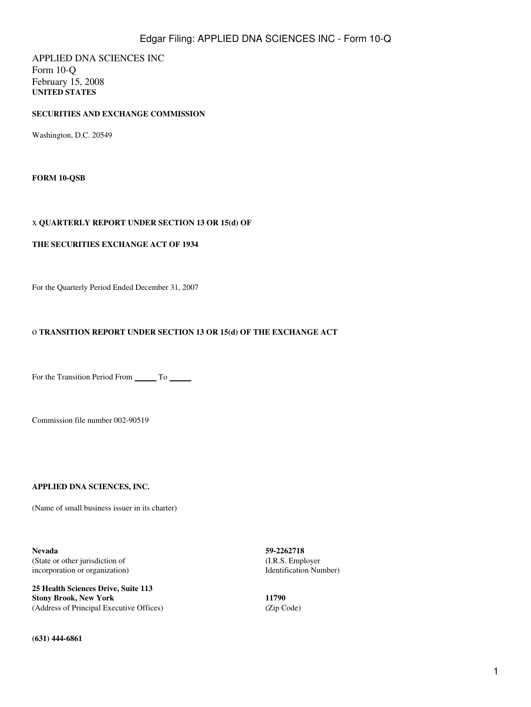APPLIED DNA SCIENCES INC Form 10-Q February 15, 2008 **UNITED STATES**

## **SECURITIES AND EXCHANGE COMMISSION**

Washington, D.C. 20549

**FORM 10-QSB**

## x **QUARTERLY REPORT UNDER SECTION 13 OR 15(d) OF**

## **THE SECURITIES EXCHANGE ACT OF 1934**

For the Quarterly Period Ended December 31, 2007

## o **TRANSITION REPORT UNDER SECTION 13 OR 15(d) OF THE EXCHANGE ACT**

For the Transition Period From \_\_\_\_\_\_\_\_ To \_\_\_\_\_\_\_

Commission file number 002-90519

## **APPLIED DNA SCIENCES, INC.**

(Name of small business issuer in its charter)

**Nevada 59-2262718** (State or other jurisdiction of (I.R.S. Employer incorporation or organization) and a later incorporation or organization) and a later of the Identification Number

**25 Health Sciences Drive, Suite 113 Stony Brook, New York 11790** (Address of Principal Executive Offices) (Zip Code)

**(631) 444-6861**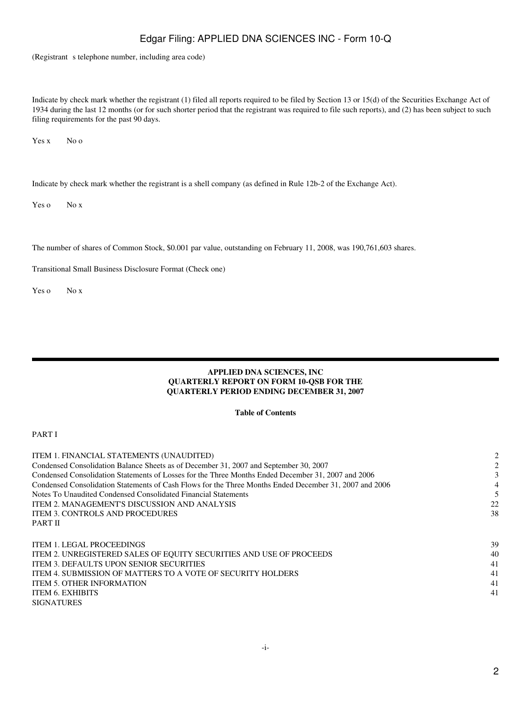(Registrant s telephone number, including area code)

Indicate by check mark whether the registrant (1) filed all reports required to be filed by Section 13 or 15(d) of the Securities Exchange Act of 1934 during the last 12 months (or for such shorter period that the registrant was required to file such reports), and (2) has been subject to such filing requirements for the past 90 days.

Yes x No o

Indicate by check mark whether the registrant is a shell company (as defined in Rule 12b-2 of the Exchange Act).

Yes o No x

The number of shares of Common Stock, \$0.001 par value, outstanding on February 11, 2008, was 190,761,603 shares.

Transitional Small Business Disclosure Format (Check one)

Yes o No x

## **APPLIED DNA SCIENCES, INC QUARTERLY REPORT ON FORM 10-QSB FOR THE QUARTERLY PERIOD ENDING DECEMBER 31, 2007**

## **Table of Contents**

## PART I

| ITEM 1. FINANCIAL STATEMENTS (UNAUDITED)                                                               | 2  |
|--------------------------------------------------------------------------------------------------------|----|
| Condensed Consolidation Balance Sheets as of December 31, 2007 and September 30, 2007                  |    |
| Condensed Consolidation Statements of Losses for the Three Months Ended December 31, 2007 and 2006     |    |
| Condensed Consolidation Statements of Cash Flows for the Three Months Ended December 31, 2007 and 2006 | 4  |
| Notes To Unaudited Condensed Consolidated Financial Statements                                         |    |
| ITEM 2. MANAGEMENT'S DISCUSSION AND ANALYSIS                                                           | 22 |
| ITEM 3. CONTROLS AND PROCEDURES                                                                        | 38 |
| <b>PART II</b>                                                                                         |    |
|                                                                                                        |    |
| ITEM 1. LEGAL PROCEEDINGS                                                                              | 39 |
| ITEM 2. UNREGISTERED SALES OF EQUITY SECURITIES AND USE OF PROCEEDS                                    | 40 |
| <b>ITEM 3. DEFAULTS UPON SENIOR SECURITIES</b>                                                         | 41 |
| <b>ITEM 4. SUBMISSION OF MATTERS TO A VOTE OF SECURITY HOLDERS</b>                                     | 41 |
| <b>ITEM 5. OTHER INFORMATION</b>                                                                       | 41 |
| ITEM 6. EXHIBITS                                                                                       | 41 |
| <b>SIGNATURES</b>                                                                                      |    |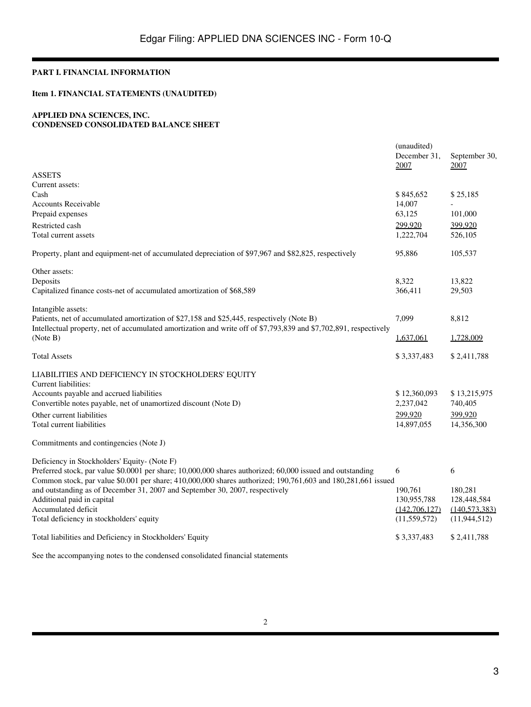## **PART I. FINANCIAL INFORMATION**

# **Item 1. FINANCIAL STATEMENTS (UNAUDITED)**

### **APPLIED DNA SCIENCES, INC. CONDENSED CONSOLIDATED BALANCE SHEET**

|                                                                                                                   | (unaudited)<br>December 31, | September 30,   |
|-------------------------------------------------------------------------------------------------------------------|-----------------------------|-----------------|
|                                                                                                                   | 2007                        | <u> 2007 </u>   |
| <b>ASSETS</b>                                                                                                     |                             |                 |
| Current assets:                                                                                                   |                             |                 |
| Cash                                                                                                              | \$845,652                   | \$25,185        |
| <b>Accounts Receivable</b>                                                                                        | 14,007<br>63,125            |                 |
| Prepaid expenses                                                                                                  |                             | 101,000         |
| Restricted cash                                                                                                   | 299,920                     | 399,920         |
| Total current assets                                                                                              | 1,222,704                   | 526,105         |
| Property, plant and equipment-net of accumulated depreciation of \$97,967 and \$82,825, respectively              | 95,886                      | 105,537         |
| Other assets:                                                                                                     |                             |                 |
| Deposits                                                                                                          | 8,322                       | 13,822          |
| Capitalized finance costs-net of accumulated amortization of \$68,589                                             | 366,411                     | 29,503          |
| Intangible assets:                                                                                                |                             |                 |
| Patients, net of accumulated amortization of \$27,158 and \$25,445, respectively (Note B)                         | 7,099                       | 8,812           |
| Intellectual property, net of accumulated amortization and write off of \$7,793,839 and \$7,702,891, respectively |                             |                 |
| (Note B)                                                                                                          | <u>1,637,061</u>            | 1,728,009       |
| <b>Total Assets</b>                                                                                               | \$3,337,483                 | \$2,411,788     |
| LIABILITIES AND DEFICIENCY IN STOCKHOLDERS' EQUITY                                                                |                             |                 |
| Current liabilities:                                                                                              |                             |                 |
| Accounts payable and accrued liabilities                                                                          | \$12,360,093                | \$13,215,975    |
| Convertible notes payable, net of unamortized discount (Note D)                                                   | 2,237,042                   | 740,405         |
| Other current liabilities                                                                                         | 299,920                     | 399,920         |
| Total current liabilities                                                                                         | 14,897,055                  | 14,356,300      |
| Commitments and contingencies (Note J)                                                                            |                             |                 |
| Deficiency in Stockholders' Equity- (Note F)                                                                      |                             |                 |
| Preferred stock, par value \$0.0001 per share; 10,000,000 shares authorized; 60,000 issued and outstanding        | 6                           | 6               |
| Common stock, par value \$0.001 per share; 410,000,000 shares authorized; 190,761,603 and 180,281,661 issued      |                             |                 |
| and outstanding as of December 31, 2007 and September 30, 2007, respectively                                      | 190,761                     | 180,281         |
| Additional paid in capital                                                                                        | 130,955,788                 | 128,448,584     |
| Accumulated deficit                                                                                               | (142,706,127)               | (140, 573, 383) |
| Total deficiency in stockholders' equity                                                                          | (11, 559, 572)              | (11, 944, 512)  |
| Total liabilities and Deficiency in Stockholders' Equity                                                          | \$3,337,483                 | \$2,411,788     |
| See the accompanying notes to the condensed consolidated financial statements                                     |                             |                 |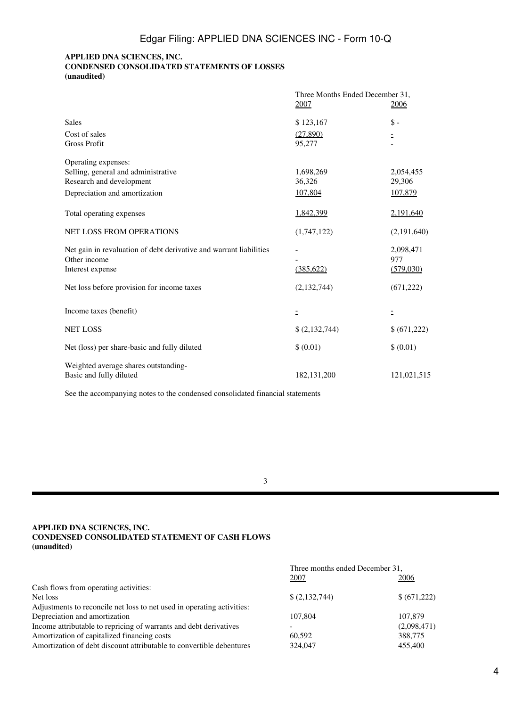## **APPLIED DNA SCIENCES, INC. CONDENSED CONSOLIDATED STATEMENTS OF LOSSES (unaudited)**

|                                                                    | Three Months Ended December 31, |                |
|--------------------------------------------------------------------|---------------------------------|----------------|
|                                                                    | 2007                            | 2006           |
| <b>Sales</b>                                                       | \$123,167                       | $\mathbb{S}$ - |
| Cost of sales                                                      | (27,890)                        |                |
| <b>Gross Profit</b>                                                | 95,277                          |                |
| Operating expenses:                                                |                                 |                |
| Selling, general and administrative                                | 1,698,269                       | 2,054,455      |
| Research and development                                           | 36,326                          | 29,306         |
| Depreciation and amortization                                      | 107,804                         | 107,879        |
| Total operating expenses                                           | 1,842,399                       | 2,191,640      |
| NET LOSS FROM OPERATIONS                                           | (1,747,122)                     | (2,191,640)    |
| Net gain in revaluation of debt derivative and warrant liabilities |                                 | 2,098,471      |
| Other income                                                       |                                 | 977            |
| Interest expense                                                   | (385, 622)                      | (579,030)      |
| Net loss before provision for income taxes                         | (2,132,744)                     | (671, 222)     |
| Income taxes (benefit)                                             | Ξ                               |                |
| <b>NET LOSS</b>                                                    | \$(2,132,744)                   | \$ (671,222)   |
| Net (loss) per share-basic and fully diluted                       | \$ (0.01)                       | \$(0.01)       |
| Weighted average shares outstanding-<br>Basic and fully diluted    | 182, 131, 200                   | 121,021,515    |

See the accompanying notes to the condensed consolidated financial statements

## 3

## **APPLIED DNA SCIENCES, INC. CONDENSED CONSOLIDATED STATEMENT OF CASH FLOWS (unaudited)**

|                                                                        | Three months ended December 31, |              |
|------------------------------------------------------------------------|---------------------------------|--------------|
|                                                                        | 2007                            | 2006         |
| Cash flows from operating activities:                                  |                                 |              |
| Net loss                                                               | \$(2,132,744)                   | \$ (671,222) |
| Adjustments to reconcile net loss to net used in operating activities: |                                 |              |
| Depreciation and amortization                                          | 107.804                         | 107,879      |
| Income attributable to repricing of warrants and debt derivatives      |                                 | (2,098,471)  |
| Amortization of capitalized financing costs                            | 60.592                          | 388,775      |
| Amortization of debt discount attributable to convertible debentures   | 324,047                         | 455,400      |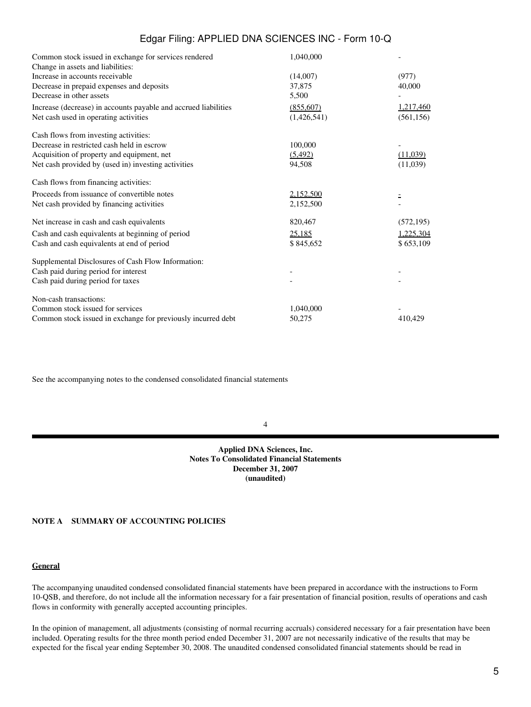| Common stock issued in exchange for services rendered           | 1,040,000   |            |
|-----------------------------------------------------------------|-------------|------------|
| Change in assets and liabilities:                               |             |            |
| Increase in accounts receivable                                 | (14,007)    | (977)      |
| Decrease in prepaid expenses and deposits                       | 37,875      | 40,000     |
| Decrease in other assets                                        | 5,500       |            |
| Increase (decrease) in accounts payable and accrued liabilities | (855,607)   | 1,217,460  |
| Net cash used in operating activities                           | (1,426,541) | (561, 156) |
| Cash flows from investing activities:                           |             |            |
| Decrease in restricted cash held in escrow                      | 100,000     |            |
| Acquisition of property and equipment, net                      | (5, 492)    | (11,039)   |
| Net cash provided by (used in) investing activities             | 94,508      | (11,039)   |
| Cash flows from financing activities:                           |             |            |
| Proceeds from issuance of convertible notes                     | 2,152,500   |            |
| Net cash provided by financing activities                       | 2,152,500   |            |
| Net increase in cash and cash equivalents                       | 820,467     | (572, 195) |
| Cash and cash equivalents at beginning of period                | 25,185      | 1,225,304  |
| Cash and cash equivalents at end of period                      | \$845,652   | \$653,109  |
| Supplemental Disclosures of Cash Flow Information:              |             |            |
| Cash paid during period for interest                            |             |            |
| Cash paid during period for taxes                               |             |            |
| Non-cash transactions:                                          |             |            |
| Common stock issued for services                                | 1.040.000   |            |
| Common stock issued in exchange for previously incurred debt    | 50,275      | 410,429    |

See the accompanying notes to the condensed consolidated financial statements

#### 4

#### **Applied DNA Sciences, Inc. Notes To Consolidated Financial Statements December 31, 2007 (unaudited)**

## **NOTE A SUMMARY OF ACCOUNTING POLICIES**

#### **General**

The accompanying unaudited condensed consolidated financial statements have been prepared in accordance with the instructions to Form 10-QSB, and therefore, do not include all the information necessary for a fair presentation of financial position, results of operations and cash flows in conformity with generally accepted accounting principles.

In the opinion of management, all adjustments (consisting of normal recurring accruals) considered necessary for a fair presentation have been included. Operating results for the three month period ended December 31, 2007 are not necessarily indicative of the results that may be expected for the fiscal year ending September 30, 2008. The unaudited condensed consolidated financial statements should be read in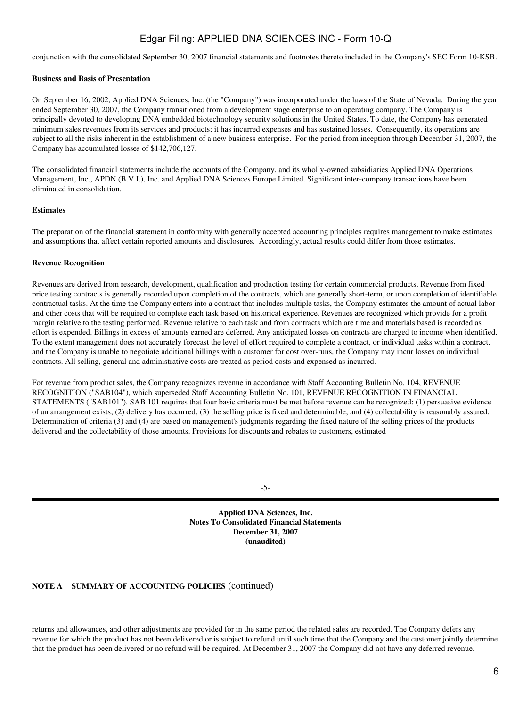conjunction with the consolidated September 30, 2007 financial statements and footnotes thereto included in the Company's SEC Form 10-KSB.

## **Business and Basis of Presentation**

On September 16, 2002, Applied DNA Sciences, Inc. (the "Company") was incorporated under the laws of the State of Nevada. During the year ended September 30, 2007, the Company transitioned from a development stage enterprise to an operating company. The Company is principally devoted to developing DNA embedded biotechnology security solutions in the United States. To date, the Company has generated minimum sales revenues from its services and products; it has incurred expenses and has sustained losses. Consequently, its operations are subject to all the risks inherent in the establishment of a new business enterprise. For the period from inception through December 31, 2007, the Company has accumulated losses of \$142,706,127.

The consolidated financial statements include the accounts of the Company, and its wholly-owned subsidiaries Applied DNA Operations Management, Inc., APDN (B.V.I.), Inc. and Applied DNA Sciences Europe Limited. Significant inter-company transactions have been eliminated in consolidation.

## **Estimates**

The preparation of the financial statement in conformity with generally accepted accounting principles requires management to make estimates and assumptions that affect certain reported amounts and disclosures. Accordingly, actual results could differ from those estimates.

## **Revenue Recognition**

Revenues are derived from research, development, qualification and production testing for certain commercial products. Revenue from fixed price testing contracts is generally recorded upon completion of the contracts, which are generally short-term, or upon completion of identifiable contractual tasks. At the time the Company enters into a contract that includes multiple tasks, the Company estimates the amount of actual labor and other costs that will be required to complete each task based on historical experience. Revenues are recognized which provide for a profit margin relative to the testing performed. Revenue relative to each task and from contracts which are time and materials based is recorded as effort is expended. Billings in excess of amounts earned are deferred. Any anticipated losses on contracts are charged to income when identified. To the extent management does not accurately forecast the level of effort required to complete a contract, or individual tasks within a contract, and the Company is unable to negotiate additional billings with a customer for cost over-runs, the Company may incur losses on individual contracts. All selling, general and administrative costs are treated as period costs and expensed as incurred.

For revenue from product sales, the Company recognizes revenue in accordance with Staff Accounting Bulletin No. 104, REVENUE RECOGNITION ("SAB104"), which superseded Staff Accounting Bulletin No. 101, REVENUE RECOGNITION IN FINANCIAL STATEMENTS ("SAB101"). SAB 101 requires that four basic criteria must be met before revenue can be recognized: (1) persuasive evidence of an arrangement exists; (2) delivery has occurred; (3) the selling price is fixed and determinable; and (4) collectability is reasonably assured. Determination of criteria (3) and (4) are based on management's judgments regarding the fixed nature of the selling prices of the products delivered and the collectability of those amounts. Provisions for discounts and rebates to customers, estimated

-5-

**Applied DNA Sciences, Inc. Notes To Consolidated Financial Statements December 31, 2007 (unaudited)**

## **NOTE A SUMMARY OF ACCOUNTING POLICIES** (continued)

returns and allowances, and other adjustments are provided for in the same period the related sales are recorded. The Company defers any revenue for which the product has not been delivered or is subject to refund until such time that the Company and the customer jointly determine that the product has been delivered or no refund will be required. At December 31, 2007 the Company did not have any deferred revenue.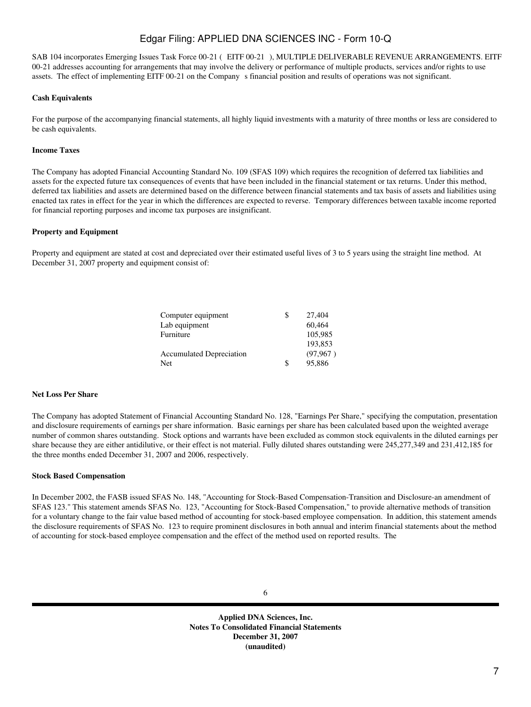SAB 104 incorporates Emerging Issues Task Force 00-21 (EITF 00-21), MULTIPLE DELIVERABLE REVENUE ARRANGEMENTS. EITF 00-21 addresses accounting for arrangements that may involve the delivery or performance of multiple products, services and/or rights to use assets. The effect of implementing EITF 00-21 on the Companys financial position and results of operations was not significant.

## **Cash Equivalents**

For the purpose of the accompanying financial statements, all highly liquid investments with a maturity of three months or less are considered to be cash equivalents.

### **Income Taxes**

The Company has adopted Financial Accounting Standard No. 109 (SFAS 109) which requires the recognition of deferred tax liabilities and assets for the expected future tax consequences of events that have been included in the financial statement or tax returns. Under this method, deferred tax liabilities and assets are determined based on the difference between financial statements and tax basis of assets and liabilities using enacted tax rates in effect for the year in which the differences are expected to reverse. Temporary differences between taxable income reported for financial reporting purposes and income tax purposes are insignificant.

### **Property and Equipment**

Property and equipment are stated at cost and depreciated over their estimated useful lives of 3 to 5 years using the straight line method. At December 31, 2007 property and equipment consist of:

| 27,404       |
|--------------|
| 60.464       |
| 105,985      |
| 193.853      |
| (97, 967)    |
| \$<br>95,886 |
|              |

### **Net Loss Per Share**

The Company has adopted Statement of Financial Accounting Standard No. 128, "Earnings Per Share," specifying the computation, presentation and disclosure requirements of earnings per share information. Basic earnings per share has been calculated based upon the weighted average number of common shares outstanding. Stock options and warrants have been excluded as common stock equivalents in the diluted earnings per share because they are either antidilutive, or their effect is not material. Fully diluted shares outstanding were 245,277,349 and 231,412,185 for the three months ended December 31, 2007 and 2006, respectively.

## **Stock Based Compensation**

In December 2002, the FASB issued SFAS No. 148, "Accounting for Stock-Based Compensation-Transition and Disclosure-an amendment of SFAS 123." This statement amends SFAS No. 123, "Accounting for Stock-Based Compensation," to provide alternative methods of transition for a voluntary change to the fair value based method of accounting for stock-based employee compensation. In addition, this statement amends the disclosure requirements of SFAS No. 123 to require prominent disclosures in both annual and interim financial statements about the method of accounting for stock-based employee compensation and the effect of the method used on reported results. The

**Applied DNA Sciences, Inc. Notes To Consolidated Financial Statements December 31, 2007 (unaudited)**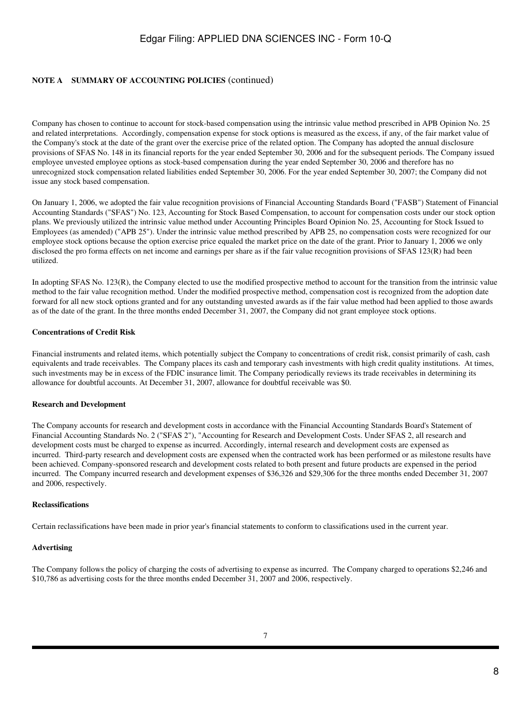## **NOTE A SUMMARY OF ACCOUNTING POLICIES** (continued)

Company has chosen to continue to account for stock-based compensation using the intrinsic value method prescribed in APB Opinion No. 25 and related interpretations. Accordingly, compensation expense for stock options is measured as the excess, if any, of the fair market value of the Company's stock at the date of the grant over the exercise price of the related option. The Company has adopted the annual disclosure provisions of SFAS No. 148 in its financial reports for the year ended September 30, 2006 and for the subsequent periods. The Company issued employee unvested employee options as stock-based compensation during the year ended September 30, 2006 and therefore has no unrecognized stock compensation related liabilities ended September 30, 2006. For the year ended September 30, 2007; the Company did not issue any stock based compensation.

On January 1, 2006, we adopted the fair value recognition provisions of Financial Accounting Standards Board ("FASB") Statement of Financial Accounting Standards ("SFAS") No. 123, Accounting for Stock Based Compensation, to account for compensation costs under our stock option plans. We previously utilized the intrinsic value method under Accounting Principles Board Opinion No. 25, Accounting for Stock Issued to Employees (as amended) ("APB 25"). Under the intrinsic value method prescribed by APB 25, no compensation costs were recognized for our employee stock options because the option exercise price equaled the market price on the date of the grant. Prior to January 1, 2006 we only disclosed the pro forma effects on net income and earnings per share as if the fair value recognition provisions of SFAS 123(R) had been utilized.

In adopting SFAS No. 123(R), the Company elected to use the modified prospective method to account for the transition from the intrinsic value method to the fair value recognition method. Under the modified prospective method, compensation cost is recognized from the adoption date forward for all new stock options granted and for any outstanding unvested awards as if the fair value method had been applied to those awards as of the date of the grant. In the three months ended December 31, 2007, the Company did not grant employee stock options.

## **Concentrations of Credit Risk**

Financial instruments and related items, which potentially subject the Company to concentrations of credit risk, consist primarily of cash, cash equivalents and trade receivables. The Company places its cash and temporary cash investments with high credit quality institutions. At times, such investments may be in excess of the FDIC insurance limit. The Company periodically reviews its trade receivables in determining its allowance for doubtful accounts. At December 31, 2007, allowance for doubtful receivable was \$0.

#### **Research and Development**

The Company accounts for research and development costs in accordance with the Financial Accounting Standards Board's Statement of Financial Accounting Standards No. 2 ("SFAS 2"), "Accounting for Research and Development Costs. Under SFAS 2, all research and development costs must be charged to expense as incurred. Accordingly, internal research and development costs are expensed as incurred. Third-party research and development costs are expensed when the contracted work has been performed or as milestone results have been achieved. Company-sponsored research and development costs related to both present and future products are expensed in the period incurred. The Company incurred research and development expenses of \$36,326 and \$29,306 for the three months ended December 31, 2007 and 2006, respectively.

#### **Reclassifications**

Certain reclassifications have been made in prior year's financial statements to conform to classifications used in the current year.

## **Advertising**

The Company follows the policy of charging the costs of advertising to expense as incurred. The Company charged to operations \$2,246 and \$10,786 as advertising costs for the three months ended December 31, 2007 and 2006, respectively.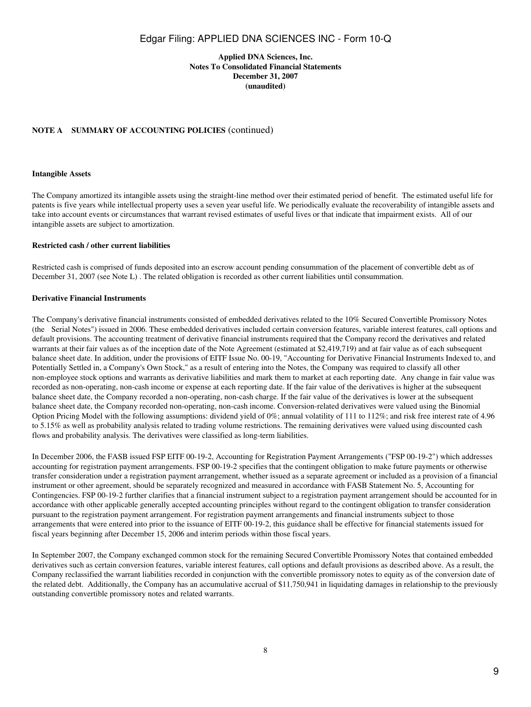## **Applied DNA Sciences, Inc. Notes To Consolidated Financial Statements December 31, 2007 (unaudited)**

## **NOTE A SUMMARY OF ACCOUNTING POLICIES** (continued)

#### **Intangible Assets**

The Company amortized its intangible assets using the straight-line method over their estimated period of benefit. The estimated useful life for patents is five years while intellectual property uses a seven year useful life. We periodically evaluate the recoverability of intangible assets and take into account events or circumstances that warrant revised estimates of useful lives or that indicate that impairment exists. All of our intangible assets are subject to amortization.

#### **Restricted cash / other current liabilities**

Restricted cash is comprised of funds deposited into an escrow account pending consummation of the placement of convertible debt as of December 31, 2007 (see Note L) . The related obligation is recorded as other current liabilities until consummation.

#### **Derivative Financial Instruments**

The Company's derivative financial instruments consisted of embedded derivatives related to the 10% Secured Convertible Promissory Notes (the Serial Notes") issued in 2006. These embedded derivatives included certain conversion features, variable interest features, call options and default provisions. The accounting treatment of derivative financial instruments required that the Company record the derivatives and related warrants at their fair values as of the inception date of the Note Agreement (estimated at \$2,419,719) and at fair value as of each subsequent balance sheet date. In addition, under the provisions of EITF Issue No. 00-19, "Accounting for Derivative Financial Instruments Indexed to, and Potentially Settled in, a Company's Own Stock," as a result of entering into the Notes, the Company was required to classify all other non-employee stock options and warrants as derivative liabilities and mark them to market at each reporting date. Any change in fair value was recorded as non-operating, non-cash income or expense at each reporting date. If the fair value of the derivatives is higher at the subsequent balance sheet date, the Company recorded a non-operating, non-cash charge. If the fair value of the derivatives is lower at the subsequent balance sheet date, the Company recorded non-operating, non-cash income. Conversion-related derivatives were valued using the Binomial Option Pricing Model with the following assumptions: dividend yield of 0%; annual volatility of 111 to 112%; and risk free interest rate of 4.96 to 5.15% as well as probability analysis related to trading volume restrictions. The remaining derivatives were valued using discounted cash flows and probability analysis. The derivatives were classified as long-term liabilities.

In December 2006, the FASB issued FSP EITF 00-19-2, Accounting for Registration Payment Arrangements ("FSP 00-19-2") which addresses accounting for registration payment arrangements. FSP 00-19-2 specifies that the contingent obligation to make future payments or otherwise transfer consideration under a registration payment arrangement, whether issued as a separate agreement or included as a provision of a financial instrument or other agreement, should be separately recognized and measured in accordance with FASB Statement No. 5, Accounting for Contingencies. FSP 00-19-2 further clarifies that a financial instrument subject to a registration payment arrangement should be accounted for in accordance with other applicable generally accepted accounting principles without regard to the contingent obligation to transfer consideration pursuant to the registration payment arrangement. For registration payment arrangements and financial instruments subject to those arrangements that were entered into prior to the issuance of EITF 00-19-2, this guidance shall be effective for financial statements issued for fiscal years beginning after December 15, 2006 and interim periods within those fiscal years.

In September 2007, the Company exchanged common stock for the remaining Secured Convertible Promissory Notes that contained embedded derivatives such as certain conversion features, variable interest features, call options and default provisions as described above. As a result, the Company reclassified the warrant liabilities recorded in conjunction with the convertible promissory notes to equity as of the conversion date of the related debt. Additionally, the Company has an accumulative accrual of \$11,750,941 in liquidating damages in relationship to the previously outstanding convertible promissory notes and related warrants.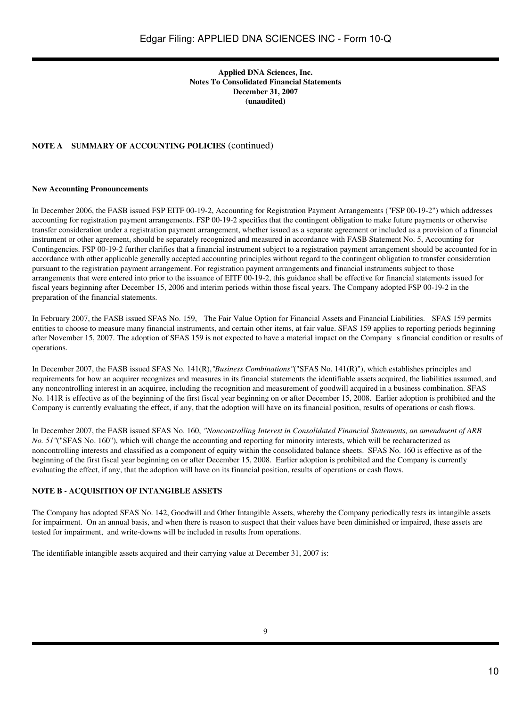## **Applied DNA Sciences, Inc. Notes To Consolidated Financial Statements December 31, 2007 (unaudited)**

## **NOTE A SUMMARY OF ACCOUNTING POLICIES** (continued)

## **New Accounting Pronouncements**

In December 2006, the FASB issued FSP EITF 00-19-2, Accounting for Registration Payment Arrangements ("FSP 00-19-2") which addresses accounting for registration payment arrangements. FSP 00-19-2 specifies that the contingent obligation to make future payments or otherwise transfer consideration under a registration payment arrangement, whether issued as a separate agreement or included as a provision of a financial instrument or other agreement, should be separately recognized and measured in accordance with FASB Statement No. 5, Accounting for Contingencies. FSP 00-19-2 further clarifies that a financial instrument subject to a registration payment arrangement should be accounted for in accordance with other applicable generally accepted accounting principles without regard to the contingent obligation to transfer consideration pursuant to the registration payment arrangement. For registration payment arrangements and financial instruments subject to those arrangements that were entered into prior to the issuance of EITF 00-19-2, this guidance shall be effective for financial statements issued for fiscal years beginning after December 15, 2006 and interim periods within those fiscal years. The Company adopted FSP 00-19-2 in the preparation of the financial statements.

In February 2007, the FASB issued SFAS No. 159, The Fair Value Option for Financial Assets and Financial Liabilities. SFAS 159 permits entities to choose to measure many financial instruments, and certain other items, at fair value. SFAS 159 applies to reporting periods beginning after November 15, 2007. The adoption of SFAS 159 is not expected to have a material impact on the Companys financial condition or results of operations.

In December 2007, the FASB issued SFAS No. 141(R),*"Business Combinations"*("SFAS No. 141(R)"), which establishes principles and requirements for how an acquirer recognizes and measures in its financial statements the identifiable assets acquired, the liabilities assumed, and any noncontrolling interest in an acquiree, including the recognition and measurement of goodwill acquired in a business combination. SFAS No. 141R is effective as of the beginning of the first fiscal year beginning on or after December 15, 2008. Earlier adoption is prohibited and the Company is currently evaluating the effect, if any, that the adoption will have on its financial position, results of operations or cash flows.

In December 2007, the FASB issued SFAS No. 160, *"Noncontrolling Interest in Consolidated Financial Statements, an amendment of ARB No.* 51"("SFAS No. 160"), which will change the accounting and reporting for minority interests, which will be recharacterized as noncontrolling interests and classified as a component of equity within the consolidated balance sheets. SFAS No. 160 is effective as of the beginning of the first fiscal year beginning on or after December 15, 2008. Earlier adoption is prohibited and the Company is currently evaluating the effect, if any, that the adoption will have on its financial position, results of operations or cash flows.

## **NOTE B - ACQUISITION OF INTANGIBLE ASSETS**

The Company has adopted SFAS No. 142, Goodwill and Other Intangible Assets, whereby the Company periodically tests its intangible assets for impairment. On an annual basis, and when there is reason to suspect that their values have been diminished or impaired, these assets are tested for impairment, and write-downs will be included in results from operations.

The identifiable intangible assets acquired and their carrying value at December 31, 2007 is: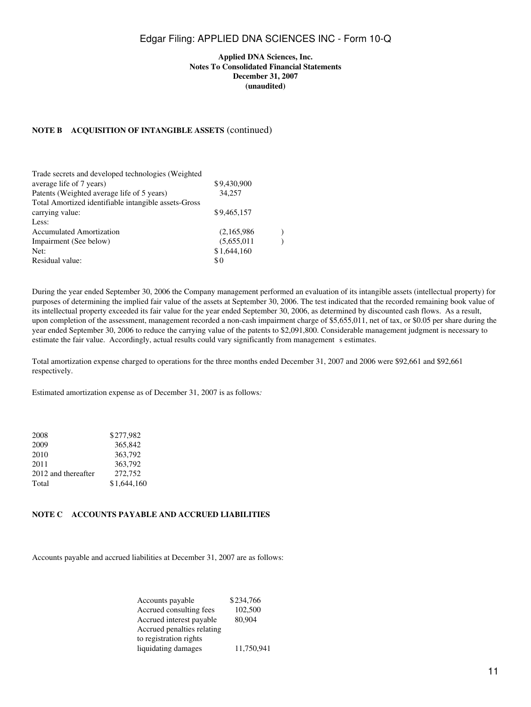## **Applied DNA Sciences, Inc. Notes To Consolidated Financial Statements December 31, 2007 (unaudited)**

## **NOTE B ACQUISITION OF INTANGIBLE ASSETS** (continued)

| Trade secrets and developed technologies (Weighted   |             |  |
|------------------------------------------------------|-------------|--|
| average life of 7 years)                             | \$9,430,900 |  |
| Patents (Weighted average life of 5 years)           | 34.257      |  |
| Total Amortized identifiable intangible assets-Gross |             |  |
| carrying value:                                      | \$9,465,157 |  |
| Less:                                                |             |  |
| <b>Accumulated Amortization</b>                      | (2,165,986) |  |
| Impairment (See below)                               | (5,655,011) |  |
| Net:                                                 | \$1,644,160 |  |
| Residual value:                                      | \$0         |  |
|                                                      |             |  |

During the year ended September 30, 2006 the Company management performed an evaluation of its intangible assets (intellectual property) for purposes of determining the implied fair value of the assets at September 30, 2006. The test indicated that the recorded remaining book value of its intellectual property exceeded its fair value for the year ended September 30, 2006, as determined by discounted cash flows. As a result, upon completion of the assessment, management recorded a non-cash impairment charge of \$5,655,011, net of tax, or \$0.05 per share during the year ended September 30, 2006 to reduce the carrying value of the patents to \$2,091,800. Considerable management judgment is necessary to estimate the fair value. Accordingly, actual results could vary significantly from management s estimates.

Total amortization expense charged to operations for the three months ended December 31, 2007 and 2006 were \$92,661 and \$92,661 respectively.

Estimated amortization expense as of December 31, 2007 is as follows*:*

| 2008                | \$277.982   |
|---------------------|-------------|
| 2009                | 365,842     |
| 2010                | 363,792     |
| 2011                | 363,792     |
| 2012 and thereafter | 272,752     |
| Total               | \$1,644,160 |

## **NOTE C ACCOUNTS PAYABLE AND ACCRUED LIABILITIES**

Accounts payable and accrued liabilities at December 31, 2007 are as follows:

| Accounts payable           | \$234,766  |
|----------------------------|------------|
| Accrued consulting fees    | 102.500    |
| Accrued interest payable   | 80,904     |
| Accrued penalties relating |            |
| to registration rights     |            |
| liquidating damages        | 11,750,941 |
|                            |            |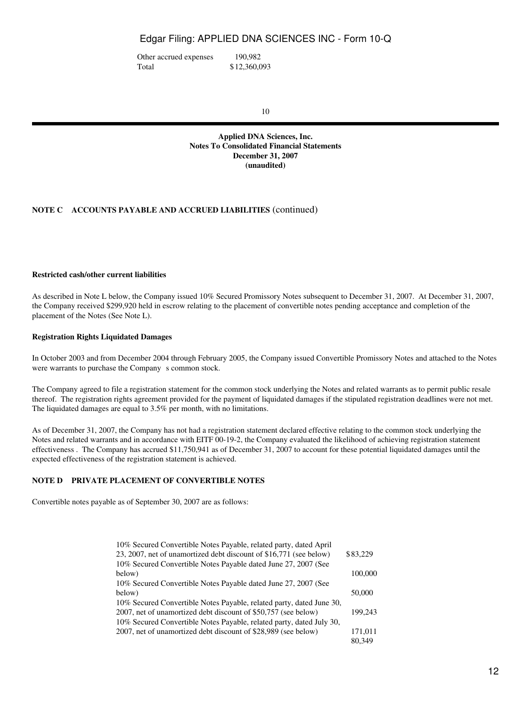Other accrued expenses 190,982 Total \$12,360,093

10

**Applied DNA Sciences, Inc. Notes To Consolidated Financial Statements December 31, 2007 (unaudited)**

## **NOTE C ACCOUNTS PAYABLE AND ACCRUED LIABILITIES** (continued)

## **Restricted cash/other current liabilities**

As described in Note L below, the Company issued 10% Secured Promissory Notes subsequent to December 31, 2007. At December 31, 2007, the Company received \$299,920 held in escrow relating to the placement of convertible notes pending acceptance and completion of the placement of the Notes (See Note L).

## **Registration Rights Liquidated Damages**

In October 2003 and from December 2004 through February 2005, the Company issued Convertible Promissory Notes and attached to the Notes were warrants to purchase the Company s common stock.

The Company agreed to file a registration statement for the common stock underlying the Notes and related warrants as to permit public resale thereof. The registration rights agreement provided for the payment of liquidated damages if the stipulated registration deadlines were not met. The liquidated damages are equal to 3.5% per month, with no limitations.

As of December 31, 2007, the Company has not had a registration statement declared effective relating to the common stock underlying the Notes and related warrants and in accordance with EITF 00-19-2, the Company evaluated the likelihood of achieving registration statement effectiveness . The Company has accrued \$11,750,941 as of December 31, 2007 to account for these potential liquidated damages until the expected effectiveness of the registration statement is achieved.

## **NOTE D PRIVATE PLACEMENT OF CONVERTIBLE NOTES**

Convertible notes payable as of September 30, 2007 are as follows:

| 10% Secured Convertible Notes Payable, related party, dated April    |          |
|----------------------------------------------------------------------|----------|
| 23, 2007, net of unamortized debt discount of \$16,771 (see below)   | \$83,229 |
| 10% Secured Convertible Notes Payable dated June 27, 2007 (See       |          |
| below)                                                               | 100,000  |
| 10% Secured Convertible Notes Payable dated June 27, 2007 (See       |          |
| below)                                                               | 50,000   |
| 10% Secured Convertible Notes Payable, related party, dated June 30, |          |
| 2007, net of unamortized debt discount of \$50,757 (see below)       | 199.243  |
| 10% Secured Convertible Notes Payable, related party, dated July 30, |          |
| 2007, net of unamortized debt discount of \$28,989 (see below)       | 171.011  |
|                                                                      | 80.349   |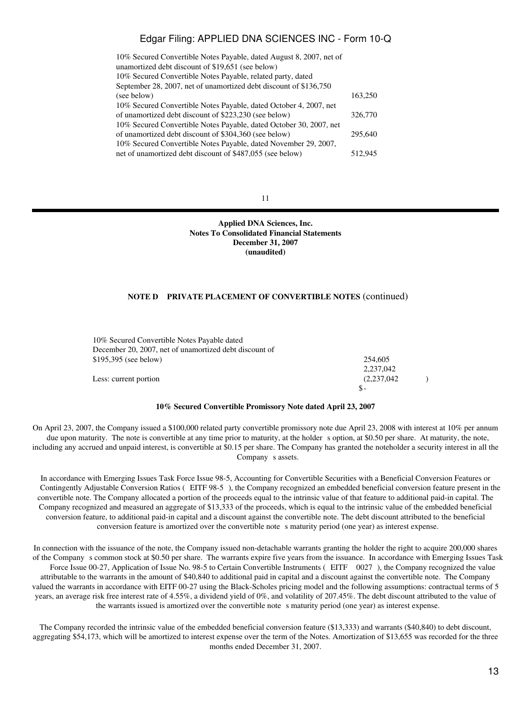| 10% Secured Convertible Notes Payable, dated August 8, 2007, net of |         |
|---------------------------------------------------------------------|---------|
| unamortized debt discount of \$19,651 (see below)                   |         |
| 10% Secured Convertible Notes Payable, related party, dated         |         |
| September 28, 2007, net of unamortized debt discount of \$136,750   |         |
| (see below)                                                         | 163,250 |
| 10% Secured Convertible Notes Payable, dated October 4, 2007, net   |         |
| of unamortized debt discount of \$223,230 (see below)               | 326,770 |
| 10% Secured Convertible Notes Payable, dated October 30, 2007, net  |         |
| of unamortized debt discount of \$304,360 (see below)               | 295,640 |
| 10% Secured Convertible Notes Payable, dated November 29, 2007,     |         |
| net of unamortized debt discount of \$487,055 (see below)           | 512,945 |

11

**Applied DNA Sciences, Inc. Notes To Consolidated Financial Statements December 31, 2007 (unaudited)**

#### **NOTE D PRIVATE PLACEMENT OF CONVERTIBLE NOTES** (continued)

| 10% Secured Convertible Notes Payable dated            |             |  |
|--------------------------------------------------------|-------------|--|
| December 20, 2007, net of unamortized debt discount of |             |  |
| $$195,395$ (see below)                                 | 254,605     |  |
|                                                        | 2.237.042   |  |
| Less: current portion                                  | (2.237.042) |  |
|                                                        | $S-$        |  |

#### **10% Secured Convertible Promissory Note dated April 23, 2007**

On April 23, 2007, the Company issued a \$100,000 related party convertible promissory note due April 23, 2008 with interest at 10% per annum due upon maturity. The note is convertible at any time prior to maturity, at the holder s option, at \$0.50 per share. At maturity, the note, including any accrued and unpaid interest, is convertible at \$0.15 per share. The Company has granted the noteholder a security interest in all the Company s assets.

In accordance with Emerging Issues Task Force Issue 98-5, Accounting for Convertible Securities with a Beneficial Conversion Features or Contingently Adjustable Conversion Ratios (EITF 98-5), the Company recognized an embedded beneficial conversion feature present in the convertible note. The Company allocated a portion of the proceeds equal to the intrinsic value of that feature to additional paid-in capital. The Company recognized and measured an aggregate of \$13,333 of the proceeds, which is equal to the intrinsic value of the embedded beneficial conversion feature, to additional paid-in capital and a discount against the convertible note. The debt discount attributed to the beneficial conversion feature is amortized over the convertible note s maturity period (one year) as interest expense.

In connection with the issuance of the note, the Company issued non-detachable warrants granting the holder the right to acquire 200,000 shares of the Companys common stock at \$0.50 per share. The warrants expire five years from the issuance. In accordance with Emerging Issues Task Force Issue 00-27, Application of Issue No. 98-5 to Certain Convertible Instruments (EITF 0027), the Company recognized the value attributable to the warrants in the amount of \$40,840 to additional paid in capital and a discount against the convertible note. The Company valued the warrants in accordance with EITF 00-27 using the Black-Scholes pricing model and the following assumptions: contractual terms of 5 years, an average risk free interest rate of 4.55%, a dividend yield of 0%, and volatility of 207.45%. The debt discount attributed to the value of the warrants issued is amortized over the convertible note s maturity period (one year) as interest expense.

The Company recorded the intrinsic value of the embedded beneficial conversion feature (\$13,333) and warrants (\$40,840) to debt discount, aggregating \$54,173, which will be amortized to interest expense over the term of the Notes. Amortization of \$13,655 was recorded for the three months ended December 31, 2007.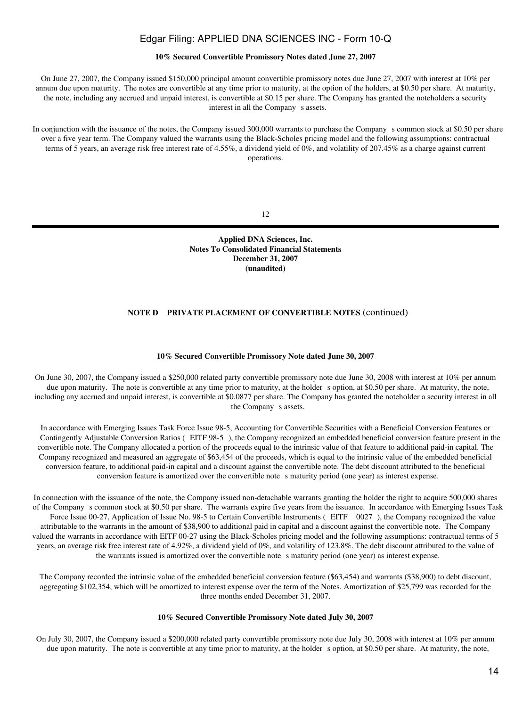## **10% Secured Convertible Promissory Notes dated June 27, 2007**

On June 27, 2007, the Company issued \$150,000 principal amount convertible promissory notes due June 27, 2007 with interest at 10% per annum due upon maturity. The notes are convertible at any time prior to maturity, at the option of the holders, at \$0.50 per share. At maturity, the note, including any accrued and unpaid interest, is convertible at \$0.15 per share. The Company has granted the noteholders a security interest in all the Company s assets.

In conjunction with the issuance of the notes, the Company issued 300,000 warrants to purchase the Company s common stock at \$0.50 per share over a five year term. The Company valued the warrants using the Black-Scholes pricing model and the following assumptions: contractual terms of 5 years, an average risk free interest rate of 4.55%, a dividend yield of 0%, and volatility of 207.45% as a charge against current operations.

12

**Applied DNA Sciences, Inc. Notes To Consolidated Financial Statements December 31, 2007 (unaudited)**

## **NOTE D PRIVATE PLACEMENT OF CONVERTIBLE NOTES** (continued)

#### **10% Secured Convertible Promissory Note dated June 30, 2007**

On June 30, 2007, the Company issued a \$250,000 related party convertible promissory note due June 30, 2008 with interest at 10% per annum due upon maturity. The note is convertible at any time prior to maturity, at the holder s option, at \$0.50 per share. At maturity, the note, including any accrued and unpaid interest, is convertible at \$0.0877 per share. The Company has granted the noteholder a security interest in all the Company s assets.

In accordance with Emerging Issues Task Force Issue 98-5, Accounting for Convertible Securities with a Beneficial Conversion Features or Contingently Adjustable Conversion Ratios (EITF 98-5), the Company recognized an embedded beneficial conversion feature present in the convertible note. The Company allocated a portion of the proceeds equal to the intrinsic value of that feature to additional paid-in capital. The Company recognized and measured an aggregate of \$63,454 of the proceeds, which is equal to the intrinsic value of the embedded beneficial conversion feature, to additional paid-in capital and a discount against the convertible note. The debt discount attributed to the beneficial conversion feature is amortized over the convertible note s maturity period (one year) as interest expense.

In connection with the issuance of the note, the Company issued non-detachable warrants granting the holder the right to acquire 500,000 shares of the Companys common stock at \$0.50 per share. The warrants expire five years from the issuance. In accordance with Emerging Issues Task Force Issue 00-27, Application of Issue No. 98-5 to Certain Convertible Instruments (EITF 0027), the Company recognized the value attributable to the warrants in the amount of \$38,900 to additional paid in capital and a discount against the convertible note. The Company valued the warrants in accordance with EITF 00-27 using the Black-Scholes pricing model and the following assumptions: contractual terms of 5 years, an average risk free interest rate of 4.92%, a dividend yield of 0%, and volatility of 123.8%. The debt discount attributed to the value of the warrants issued is amortized over the convertible note s maturity period (one year) as interest expense.

The Company recorded the intrinsic value of the embedded beneficial conversion feature (\$63,454) and warrants (\$38,900) to debt discount, aggregating \$102,354, which will be amortized to interest expense over the term of the Notes. Amortization of \$25,799 was recorded for the three months ended December 31, 2007.

#### **10% Secured Convertible Promissory Note dated July 30, 2007**

On July 30, 2007, the Company issued a \$200,000 related party convertible promissory note due July 30, 2008 with interest at 10% per annum due upon maturity. The note is convertible at any time prior to maturity, at the holder s option, at \$0.50 per share. At maturity, the note,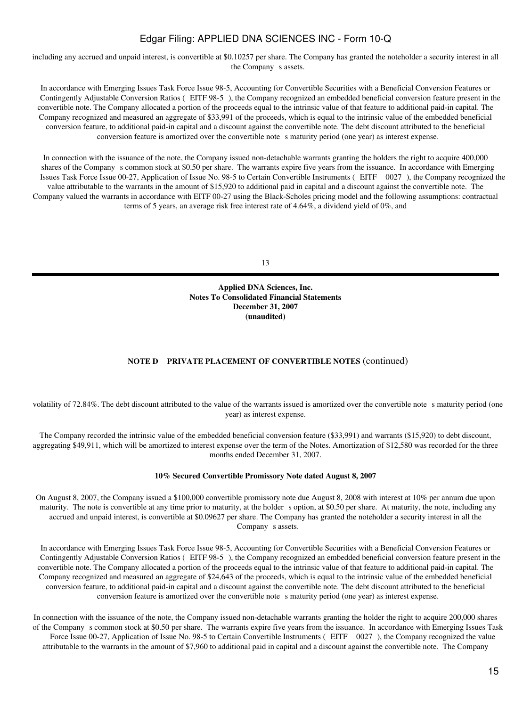including any accrued and unpaid interest, is convertible at \$0.10257 per share. The Company has granted the noteholder a security interest in all the Company s assets.

In accordance with Emerging Issues Task Force Issue 98-5, Accounting for Convertible Securities with a Beneficial Conversion Features or Contingently Adjustable Conversion Ratios (EITF 98-5), the Company recognized an embedded beneficial conversion feature present in the convertible note. The Company allocated a portion of the proceeds equal to the intrinsic value of that feature to additional paid-in capital. The Company recognized and measured an aggregate of \$33,991 of the proceeds, which is equal to the intrinsic value of the embedded beneficial conversion feature, to additional paid-in capital and a discount against the convertible note. The debt discount attributed to the beneficial conversion feature is amortized over the convertible note s maturity period (one year) as interest expense.

In connection with the issuance of the note, the Company issued non-detachable warrants granting the holders the right to acquire 400,000 shares of the Company s common stock at \$0.50 per share. The warrants expire five years from the issuance. In accordance with Emerging Issues Task Force Issue 00-27, Application of Issue No. 98-5 to Certain Convertible Instruments (EITF 0027), the Company recognized the value attributable to the warrants in the amount of \$15,920 to additional paid in capital and a discount against the convertible note. The Company valued the warrants in accordance with EITF 00-27 using the Black-Scholes pricing model and the following assumptions: contractual terms of 5 years, an average risk free interest rate of 4.64%, a dividend yield of 0%, and

13

**Applied DNA Sciences, Inc. Notes To Consolidated Financial Statements December 31, 2007 (unaudited)**

## **NOTE D PRIVATE PLACEMENT OF CONVERTIBLE NOTES** (continued)

volatility of 72.84%. The debt discount attributed to the value of the warrants issued is amortized over the convertible note s maturity period (one year) as interest expense.

The Company recorded the intrinsic value of the embedded beneficial conversion feature (\$33,991) and warrants (\$15,920) to debt discount, aggregating \$49,911, which will be amortized to interest expense over the term of the Notes. Amortization of \$12,580 was recorded for the three months ended December 31, 2007.

#### **10% Secured Convertible Promissory Note dated August 8, 2007**

On August 8, 2007, the Company issued a \$100,000 convertible promissory note due August 8, 2008 with interest at 10% per annum due upon maturity. The note is convertible at any time prior to maturity, at the holder s option, at \$0.50 per share. At maturity, the note, including any accrued and unpaid interest, is convertible at \$0.09627 per share. The Company has granted the noteholder a security interest in all the Company s assets.

In accordance with Emerging Issues Task Force Issue 98-5, Accounting for Convertible Securities with a Beneficial Conversion Features or Contingently Adjustable Conversion Ratios (EITF 98-5), the Company recognized an embedded beneficial conversion feature present in the convertible note. The Company allocated a portion of the proceeds equal to the intrinsic value of that feature to additional paid-in capital. The Company recognized and measured an aggregate of \$24,643 of the proceeds, which is equal to the intrinsic value of the embedded beneficial conversion feature, to additional paid-in capital and a discount against the convertible note. The debt discount attributed to the beneficial conversion feature is amortized over the convertible notes maturity period (one year) as interest expense.

In connection with the issuance of the note, the Company issued non-detachable warrants granting the holder the right to acquire 200,000 shares of the Companys common stock at \$0.50 per share. The warrants expire five years from the issuance. In accordance with Emerging Issues Task Force Issue 00-27, Application of Issue No. 98-5 to Certain Convertible Instruments (EITF 0027), the Company recognized the value attributable to the warrants in the amount of \$7,960 to additional paid in capital and a discount against the convertible note. The Company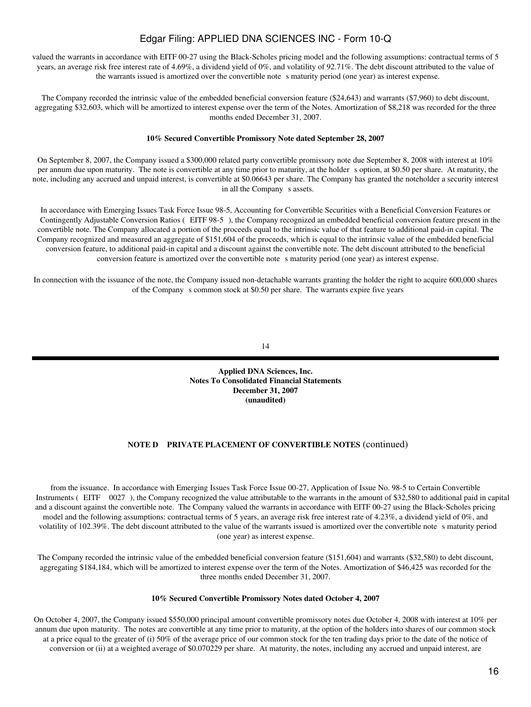valued the warrants in accordance with EITF 00-27 using the Black-Scholes pricing model and the following assumptions: contractual terms of 5 years, an average risk free interest rate of 4.69%, a dividend yield of 0%, and volatility of 92.71%. The debt discount attributed to the value of the warrants issued is amortized over the convertible note s maturity period (one year) as interest expense.

The Company recorded the intrinsic value of the embedded beneficial conversion feature (\$24,643) and warrants (\$7,960) to debt discount, aggregating \$32,603, which will be amortized to interest expense over the term of the Notes. Amortization of \$8,218 was recorded for the three months ended December 31, 2007.

### **10% Secured Convertible Promissory Note dated September 28, 2007**

On September 8, 2007, the Company issued a \$300,000 related party convertible promissory note due September 8, 2008 with interest at 10% per annum due upon maturity. The note is convertible at any time prior to maturity, at the holder s option, at \$0.50 per share. At maturity, the note, including any accrued and unpaid interest, is convertible at \$0.06643 per share. The Company has granted the noteholder a security interest in all the Company s assets.

In accordance with Emerging Issues Task Force Issue 98-5, Accounting for Convertible Securities with a Beneficial Conversion Features or Contingently Adjustable Conversion Ratios (EITF 98-5), the Company recognized an embedded beneficial conversion feature present in the convertible note. The Company allocated a portion of the proceeds equal to the intrinsic value of that feature to additional paid-in capital. The Company recognized and measured an aggregate of \$151,604 of the proceeds, which is equal to the intrinsic value of the embedded beneficial conversion feature, to additional paid-in capital and a discount against the convertible note. The debt discount attributed to the beneficial conversion feature is amortized over the convertible note s maturity period (one year) as interest expense.

In connection with the issuance of the note, the Company issued non-detachable warrants granting the holder the right to acquire 600,000 shares of the Company s common stock at \$0.50 per share. The warrants expire five years

14

**Applied DNA Sciences, Inc. Notes To Consolidated Financial Statements December 31, 2007 (unaudited)**

## **NOTE D PRIVATE PLACEMENT OF CONVERTIBLE NOTES** (continued)

from the issuance. In accordance with Emerging Issues Task Force Issue 00-27, Application of Issue No. 98-5 to Certain Convertible Instruments (EITF 0027), the Company recognized the value attributable to the warrants in the amount of \$32,580 to additional paid in capital and a discount against the convertible note. The Company valued the warrants in accordance with EITF 00-27 using the Black-Scholes pricing model and the following assumptions: contractual terms of 5 years, an average risk free interest rate of 4.23%, a dividend yield of 0%, and volatility of 102.39%. The debt discount attributed to the value of the warrants issued is amortized over the convertible notes maturity period (one year) as interest expense.

The Company recorded the intrinsic value of the embedded beneficial conversion feature (\$151,604) and warrants (\$32,580) to debt discount, aggregating \$184,184, which will be amortized to interest expense over the term of the Notes. Amortization of \$46,425 was recorded for the three months ended December 31, 2007.

#### **10% Secured Convertible Promissory Notes dated October 4, 2007**

On October 4, 2007, the Company issued \$550,000 principal amount convertible promissory notes due October 4, 2008 with interest at 10% per annum due upon maturity. The notes are convertible at any time prior to maturity, at the option of the holders into shares of our common stock at a price equal to the greater of (i) 50% of the average price of our common stock for the ten trading days prior to the date of the notice of conversion or (ii) at a weighted average of \$0.070229 per share. At maturity, the notes, including any accrued and unpaid interest, are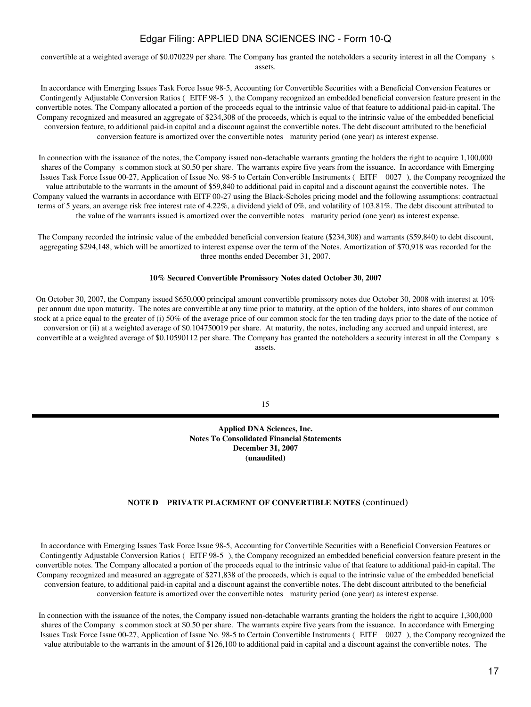convertible at a weighted average of \$0.070229 per share. The Company has granted the noteholders a security interest in all the Company s assets.

In accordance with Emerging Issues Task Force Issue 98-5, Accounting for Convertible Securities with a Beneficial Conversion Features or Contingently Adjustable Conversion Ratios (EITF 98-5), the Company recognized an embedded beneficial conversion feature present in the convertible notes. The Company allocated a portion of the proceeds equal to the intrinsic value of that feature to additional paid-in capital. The Company recognized and measured an aggregate of \$234,308 of the proceeds, which is equal to the intrinsic value of the embedded beneficial conversion feature, to additional paid-in capital and a discount against the convertible notes. The debt discount attributed to the beneficial conversion feature is amortized over the convertible notes maturity period (one year) as interest expense.

In connection with the issuance of the notes, the Company issued non-detachable warrants granting the holders the right to acquire 1,100,000 shares of the Company s common stock at \$0.50 per share. The warrants expire five years from the issuance. In accordance with Emerging Issues Task Force Issue 00-27, Application of Issue No. 98-5 to Certain Convertible Instruments (EITF 0027), the Company recognized the value attributable to the warrants in the amount of \$59,840 to additional paid in capital and a discount against the convertible notes. The Company valued the warrants in accordance with EITF 00-27 using the Black-Scholes pricing model and the following assumptions: contractual terms of 5 years, an average risk free interest rate of 4.22%, a dividend yield of 0%, and volatility of 103.81%. The debt discount attributed to the value of the warrants issued is amortized over the convertible notes maturity period (one year) as interest expense.

The Company recorded the intrinsic value of the embedded beneficial conversion feature (\$234,308) and warrants (\$59,840) to debt discount, aggregating \$294,148, which will be amortized to interest expense over the term of the Notes. Amortization of \$70,918 was recorded for the three months ended December 31, 2007.

#### **10% Secured Convertible Promissory Notes dated October 30, 2007**

On October 30, 2007, the Company issued \$650,000 principal amount convertible promissory notes due October 30, 2008 with interest at 10% per annum due upon maturity. The notes are convertible at any time prior to maturity, at the option of the holders, into shares of our common stock at a price equal to the greater of (i) 50% of the average price of our common stock for the ten trading days prior to the date of the notice of conversion or (ii) at a weighted average of \$0.104750019 per share. At maturity, the notes, including any accrued and unpaid interest, are convertible at a weighted average of \$0.10590112 per share. The Company has granted the noteholders a security interest in all the Company s assets.

15

**Applied DNA Sciences, Inc. Notes To Consolidated Financial Statements December 31, 2007 (unaudited)**

#### **NOTE D PRIVATE PLACEMENT OF CONVERTIBLE NOTES** (continued)

In accordance with Emerging Issues Task Force Issue 98-5, Accounting for Convertible Securities with a Beneficial Conversion Features or Contingently Adjustable Conversion Ratios (EITF 98-5), the Company recognized an embedded beneficial conversion feature present in the convertible notes. The Company allocated a portion of the proceeds equal to the intrinsic value of that feature to additional paid-in capital. The Company recognized and measured an aggregate of \$271,838 of the proceeds, which is equal to the intrinsic value of the embedded beneficial conversion feature, to additional paid-in capital and a discount against the convertible notes. The debt discount attributed to the beneficial conversion feature is amortized over the convertible notes maturity period (one year) as interest expense.

In connection with the issuance of the notes, the Company issued non-detachable warrants granting the holders the right to acquire 1,300,000 shares of the Company s common stock at \$0.50 per share. The warrants expire five years from the issuance. In accordance with Emerging Issues Task Force Issue 00-27, Application of Issue No. 98-5 to Certain Convertible Instruments (EITF 0027), the Company recognized the value attributable to the warrants in the amount of \$126,100 to additional paid in capital and a discount against the convertible notes. The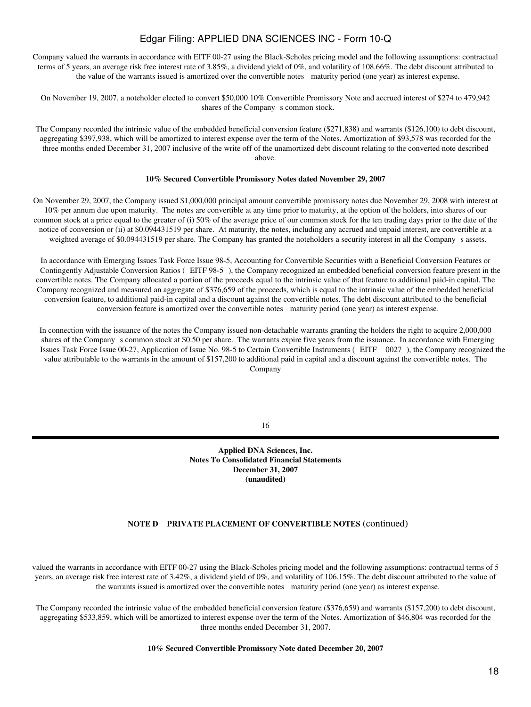Company valued the warrants in accordance with EITF 00-27 using the Black-Scholes pricing model and the following assumptions: contractual terms of 5 years, an average risk free interest rate of 3.85%, a dividend yield of 0%, and volatility of 108.66%. The debt discount attributed to the value of the warrants issued is amortized over the convertible notes maturity period (one year) as interest expense.

On November 19, 2007, a noteholder elected to convert \$50,000 10% Convertible Promissory Note and accrued interest of \$274 to 479,942 shares of the Company s common stock.

The Company recorded the intrinsic value of the embedded beneficial conversion feature (\$271,838) and warrants (\$126,100) to debt discount, aggregating \$397,938, which will be amortized to interest expense over the term of the Notes. Amortization of \$93,578 was recorded for the three months ended December 31, 2007 inclusive of the write off of the unamortized debt discount relating to the converted note described above.

### **10% Secured Convertible Promissory Notes dated November 29, 2007**

On November 29, 2007, the Company issued \$1,000,000 principal amount convertible promissory notes due November 29, 2008 with interest at 10% per annum due upon maturity. The notes are convertible at any time prior to maturity, at the option of the holders, into shares of our common stock at a price equal to the greater of (i) 50% of the average price of our common stock for the ten trading days prior to the date of the notice of conversion or (ii) at \$0.094431519 per share. At maturity, the notes, including any accrued and unpaid interest, are convertible at a weighted average of \$0.094431519 per share. The Company has granted the noteholders a security interest in all the Company s assets.

In accordance with Emerging Issues Task Force Issue 98-5, Accounting for Convertible Securities with a Beneficial Conversion Features or Contingently Adjustable Conversion Ratios (EITF 98-5), the Company recognized an embedded beneficial conversion feature present in the convertible notes. The Company allocated a portion of the proceeds equal to the intrinsic value of that feature to additional paid-in capital. The Company recognized and measured an aggregate of \$376,659 of the proceeds, which is equal to the intrinsic value of the embedded beneficial conversion feature, to additional paid-in capital and a discount against the convertible notes. The debt discount attributed to the beneficial conversion feature is amortized over the convertible notes maturity period (one year) as interest expense.

In connection with the issuance of the notes the Company issued non-detachable warrants granting the holders the right to acquire 2,000,000 shares of the Company s common stock at \$0.50 per share. The warrants expire five years from the issuance. In accordance with Emerging Issues Task Force Issue 00-27, Application of Issue No. 98-5 to Certain Convertible Instruments (EITF 0027), the Company recognized the value attributable to the warrants in the amount of \$157,200 to additional paid in capital and a discount against the convertible notes. The Company

16

**Applied DNA Sciences, Inc. Notes To Consolidated Financial Statements December 31, 2007 (unaudited)**

## **NOTE D PRIVATE PLACEMENT OF CONVERTIBLE NOTES** (continued)

valued the warrants in accordance with EITF 00-27 using the Black-Scholes pricing model and the following assumptions: contractual terms of 5 years, an average risk free interest rate of 3.42%, a dividend yield of 0%, and volatility of 106.15%. The debt discount attributed to the value of the warrants issued is amortized over the convertible notes maturity period (one year) as interest expense.

The Company recorded the intrinsic value of the embedded beneficial conversion feature (\$376,659) and warrants (\$157,200) to debt discount, aggregating \$533,859, which will be amortized to interest expense over the term of the Notes. Amortization of \$46,804 was recorded for the three months ended December 31, 2007.

**10% Secured Convertible Promissory Note dated December 20, 2007**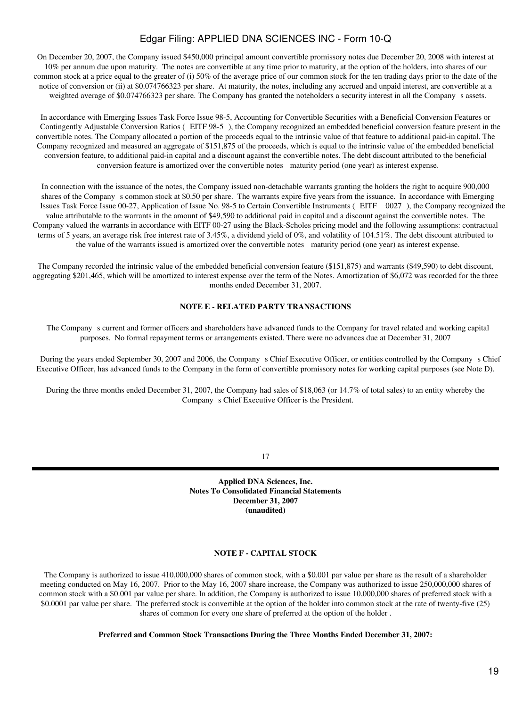On December 20, 2007, the Company issued \$450,000 principal amount convertible promissory notes due December 20, 2008 with interest at 10% per annum due upon maturity. The notes are convertible at any time prior to maturity, at the option of the holders, into shares of our common stock at a price equal to the greater of (i) 50% of the average price of our common stock for the ten trading days prior to the date of the notice of conversion or (ii) at \$0.074766323 per share. At maturity, the notes, including any accrued and unpaid interest, are convertible at a weighted average of \$0.074766323 per share. The Company has granted the noteholders a security interest in all the Company s assets.

In accordance with Emerging Issues Task Force Issue 98-5, Accounting for Convertible Securities with a Beneficial Conversion Features or Contingently Adjustable Conversion Ratios (EITF 98-5), the Company recognized an embedded beneficial conversion feature present in the convertible notes. The Company allocated a portion of the proceeds equal to the intrinsic value of that feature to additional paid-in capital. The Company recognized and measured an aggregate of \$151,875 of the proceeds, which is equal to the intrinsic value of the embedded beneficial conversion feature, to additional paid-in capital and a discount against the convertible notes. The debt discount attributed to the beneficial conversion feature is amortized over the convertible notes maturity period (one year) as interest expense.

In connection with the issuance of the notes, the Company issued non-detachable warrants granting the holders the right to acquire 900,000 shares of the Company s common stock at \$0.50 per share. The warrants expire five years from the issuance. In accordance with Emerging Issues Task Force Issue 00-27, Application of Issue No. 98-5 to Certain Convertible Instruments (EITF 0027), the Company recognized the value attributable to the warrants in the amount of \$49,590 to additional paid in capital and a discount against the convertible notes. The Company valued the warrants in accordance with EITF 00-27 using the Black-Scholes pricing model and the following assumptions: contractual terms of 5 years, an average risk free interest rate of 3.45%, a dividend yield of 0%, and volatility of 104.51%. The debt discount attributed to the value of the warrants issued is amortized over the convertible notes maturity period (one year) as interest expense.

The Company recorded the intrinsic value of the embedded beneficial conversion feature (\$151,875) and warrants (\$49,590) to debt discount, aggregating \$201,465, which will be amortized to interest expense over the term of the Notes. Amortization of \$6,072 was recorded for the three months ended December 31, 2007.

### **NOTE E - RELATED PARTY TRANSACTIONS**

The Company s current and former officers and shareholders have advanced funds to the Company for travel related and working capital purposes. No formal repayment terms or arrangements existed. There were no advances due at December 31, 2007

During the years ended September 30, 2007 and 2006, the Company s Chief Executive Officer, or entities controlled by the Company s Chief Executive Officer, has advanced funds to the Company in the form of convertible promissory notes for working capital purposes (see Note D).

During the three months ended December 31, 2007, the Company had sales of \$18,063 (or 14.7% of total sales) to an entity whereby the Company s Chief Executive Officer is the President.

17

**Applied DNA Sciences, Inc. Notes To Consolidated Financial Statements December 31, 2007 (unaudited)**

### **NOTE F - CAPITAL STOCK**

The Company is authorized to issue 410,000,000 shares of common stock, with a \$0.001 par value per share as the result of a shareholder meeting conducted on May 16, 2007. Prior to the May 16, 2007 share increase, the Company was authorized to issue 250,000,000 shares of common stock with a \$0.001 par value per share. In addition, the Company is authorized to issue 10,000,000 shares of preferred stock with a \$0.0001 par value per share. The preferred stock is convertible at the option of the holder into common stock at the rate of twenty-five (25) shares of common for every one share of preferred at the option of the holder .

**Preferred and Common Stock Transactions During the Three Months Ended December 31, 2007:**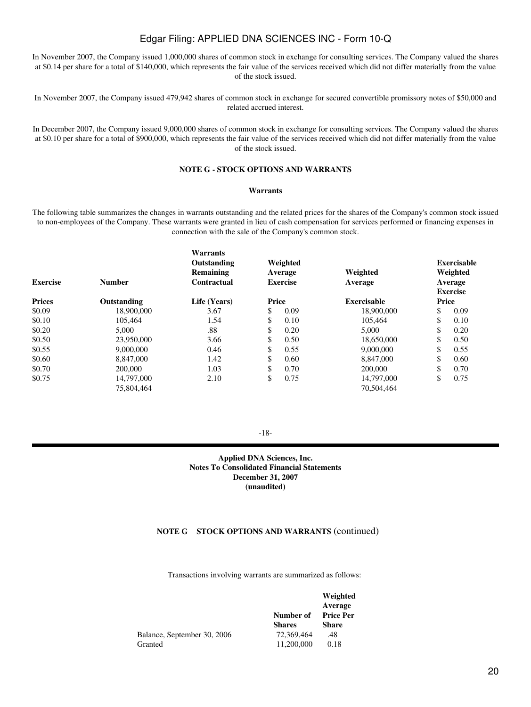In November 2007, the Company issued 1,000,000 shares of common stock in exchange for consulting services. The Company valued the shares at \$0.14 per share for a total of \$140,000, which represents the fair value of the services received which did not differ materially from the value of the stock issued.

In November 2007, the Company issued 479,942 shares of common stock in exchange for secured convertible promissory notes of \$50,000 and related accrued interest.

In December 2007, the Company issued 9,000,000 shares of common stock in exchange for consulting services. The Company valued the shares at \$0.10 per share for a total of \$900,000, which represents the fair value of the services received which did not differ materially from the value of the stock issued.

## **NOTE G - STOCK OPTIONS AND WARRANTS**

#### **Warrants**

The following table summarizes the changes in warrants outstanding and the related prices for the shares of the Company's common stock issued to non-employees of the Company. These warrants were granted in lieu of cash compensation for services performed or financing expenses in connection with the sale of the Company's common stock.

| <b>Exercise</b> | <b>Number</b> | Warrants<br>Outstanding<br>Remaining<br><b>Contractual</b> |       | Weighted<br>Average<br><b>Exercise</b> | Weighted<br>Average |       | <b>Exercisable</b><br>Weighted<br>Average<br><b>Exercise</b> |
|-----------------|---------------|------------------------------------------------------------|-------|----------------------------------------|---------------------|-------|--------------------------------------------------------------|
| <b>Prices</b>   | Outstanding   | Life (Years)                                               | Price |                                        | <b>Exercisable</b>  | Price |                                                              |
| \$0.09          | 18,900,000    | 3.67                                                       | \$    | 0.09                                   | 18,900,000          | \$    | 0.09                                                         |
| \$0.10          | 105.464       | 1.54                                                       | \$    | 0.10                                   | 105.464             | \$    | 0.10                                                         |
| \$0.20          | 5.000         | .88                                                        | \$    | 0.20                                   | 5,000               | \$    | 0.20                                                         |
| \$0.50          | 23,950,000    | 3.66                                                       | \$    | 0.50                                   | 18,650,000          | \$    | 0.50                                                         |
| \$0.55          | 9,000,000     | 0.46                                                       | \$    | 0.55                                   | 9,000,000           | \$    | 0.55                                                         |
| \$0.60          | 8,847,000     | 1.42                                                       | \$    | 0.60                                   | 8,847,000           | \$    | 0.60                                                         |
| \$0.70          | 200,000       | 1.03                                                       | \$    | 0.70                                   | 200,000             | \$    | 0.70                                                         |
| \$0.75          | 14,797,000    | 2.10                                                       | \$    | 0.75                                   | 14,797,000          | \$    | 0.75                                                         |
|                 | 75,804,464    |                                                            |       |                                        | 70,504,464          |       |                                                              |

-18-

**Applied DNA Sciences, Inc. Notes To Consolidated Financial Statements December 31, 2007 (unaudited)**

## **NOTE G STOCK OPTIONS AND WARRANTS** (continued)

Transactions involving warrants are summarized as follows:

|               | Weighted         |  |
|---------------|------------------|--|
|               | Average          |  |
| Number of     | <b>Price Per</b> |  |
| <b>Shares</b> | <b>Share</b>     |  |
| 72,369,464    | .48              |  |
| 11,200,000    | 0.18             |  |
|               |                  |  |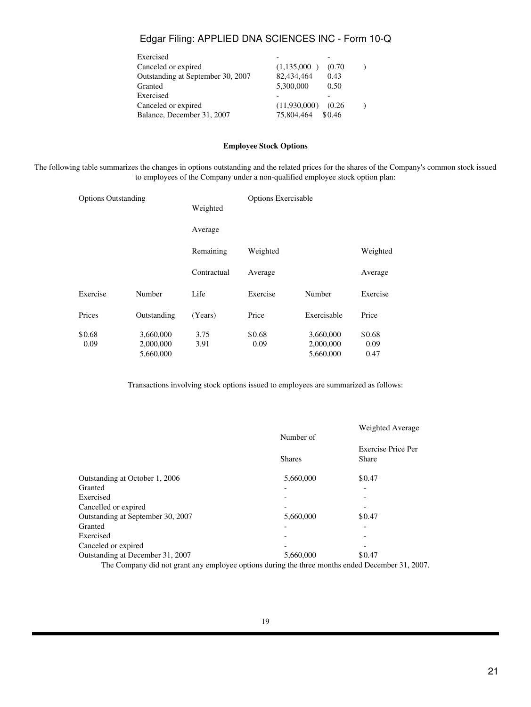| Exercised                         |              |        |  |
|-----------------------------------|--------------|--------|--|
| Canceled or expired               | (1,135,000)  | (0.70) |  |
| Outstanding at September 30, 2007 | 82,434,464   | 0.43   |  |
| Granted                           | 5,300,000    | 0.50   |  |
| Exercised                         |              |        |  |
| Canceled or expired               | (11,930,000) | (0.26) |  |
| Balance, December 31, 2007        | 75,804,464   | \$0.46 |  |
|                                   |              |        |  |

### **Employee Stock Options**

The following table summarizes the changes in options outstanding and the related prices for the shares of the Company's common stock issued to employees of the Company under a non-qualified employee stock option plan:

| <b>Options Outstanding</b> |                        | Weighted     | <b>Options Exercisable</b> |                        |                |
|----------------------------|------------------------|--------------|----------------------------|------------------------|----------------|
|                            |                        | Average      |                            |                        |                |
|                            |                        | Remaining    | Weighted                   |                        | Weighted       |
|                            |                        | Contractual  | Average                    |                        | Average        |
| Exercise                   | Number                 | Life         | Exercise                   | Number                 | Exercise       |
| Prices                     | Outstanding            | (Years)      | Price                      | Exercisable            | Price          |
| \$0.68<br>0.09             | 3,660,000<br>2,000,000 | 3.75<br>3.91 | \$0.68<br>0.09             | 3,660,000<br>2,000,000 | \$0.68<br>0.09 |
|                            | 5,660,000              |              |                            | 5,660,000              | 0.47           |

Transactions involving stock options issued to employees are summarized as follows:

|                                   |               | Weighted Average                   |
|-----------------------------------|---------------|------------------------------------|
|                                   | Number of     |                                    |
|                                   | <b>Shares</b> | Exercise Price Per<br><b>Share</b> |
| Outstanding at October 1, 2006    | 5,660,000     | \$0.47                             |
| Granted                           |               | $\overline{\phantom{0}}$           |
| Exercised                         |               | $\overline{\phantom{a}}$           |
| Cancelled or expired              |               |                                    |
| Outstanding at September 30, 2007 | 5,660,000     | \$0.47                             |
| Granted                           |               | ۰                                  |
| Exercised                         |               |                                    |
| Canceled or expired               |               |                                    |
| Outstanding at December 31, 2007  | 5.660,000     | \$0.47                             |

The Company did not grant any employee options during the three months ended December 31, 2007.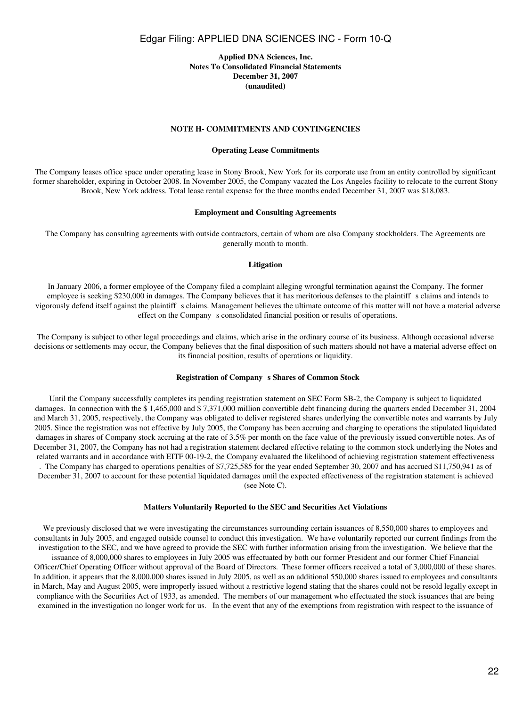### **Applied DNA Sciences, Inc. Notes To Consolidated Financial Statements December 31, 2007 (unaudited)**

#### **NOTE H- COMMITMENTS AND CONTINGENCIES**

#### **Operating Lease Commitments**

The Company leases office space under operating lease in Stony Brook, New York for its corporate use from an entity controlled by significant former shareholder, expiring in October 2008. In November 2005, the Company vacated the Los Angeles facility to relocate to the current Stony Brook, New York address. Total lease rental expense for the three months ended December 31, 2007 was \$18,083.

#### **Employment and Consulting Agreements**

The Company has consulting agreements with outside contractors, certain of whom are also Company stockholders. The Agreements are generally month to month.

#### **Litigation**

In January 2006, a former employee of the Company filed a complaint alleging wrongful termination against the Company. The former employee is seeking \$230,000 in damages. The Company believes that it has meritorious defenses to the plaintiff s claims and intends to vigorously defend itself against the plaintiffs claims. Management believes the ultimate outcome of this matter will not have a material adverse effect on the Company s consolidated financial position or results of operations.

The Company is subject to other legal proceedings and claims, which arise in the ordinary course of its business. Although occasional adverse decisions or settlements may occur, the Company believes that the final disposition of such matters should not have a material adverse effect on its financial position, results of operations or liquidity.

#### **Registration of Companys Shares of Common Stock**

Until the Company successfully completes its pending registration statement on SEC Form SB-2, the Company is subject to liquidated damages. In connection with the \$ 1,465,000 and \$ 7,371,000 million convertible debt financing during the quarters ended December 31, 2004 and March 31, 2005, respectively, the Company was obligated to deliver registered shares underlying the convertible notes and warrants by July 2005. Since the registration was not effective by July 2005, the Company has been accruing and charging to operations the stipulated liquidated damages in shares of Company stock accruing at the rate of 3.5% per month on the face value of the previously issued convertible notes. As of December 31, 2007, the Company has not had a registration statement declared effective relating to the common stock underlying the Notes and related warrants and in accordance with EITF 00-19-2, the Company evaluated the likelihood of achieving registration statement effectiveness . The Company has charged to operations penalties of \$7,725,585 for the year ended September 30, 2007 and has accrued \$11,750,941 as of December 31, 2007 to account for these potential liquidated damages until the expected effectiveness of the registration statement is achieved

(see Note C).

#### **Matters Voluntarily Reported to the SEC and Securities Act Violations**

We previously disclosed that we were investigating the circumstances surrounding certain issuances of 8,550,000 shares to employees and consultants in July 2005, and engaged outside counsel to conduct this investigation. We have voluntarily reported our current findings from the investigation to the SEC, and we have agreed to provide the SEC with further information arising from the investigation. We believe that the

issuance of 8,000,000 shares to employees in July 2005 was effectuated by both our former President and our former Chief Financial Officer/Chief Operating Officer without approval of the Board of Directors. These former officers received a total of 3,000,000 of these shares. In addition, it appears that the 8,000,000 shares issued in July 2005, as well as an additional 550,000 shares issued to employees and consultants in March, May and August 2005, were improperly issued without a restrictive legend stating that the shares could not be resold legally except in compliance with the Securities Act of 1933, as amended. The members of our management who effectuated the stock issuances that are being examined in the investigation no longer work for us. In the event that any of the exemptions from registration with respect to the issuance of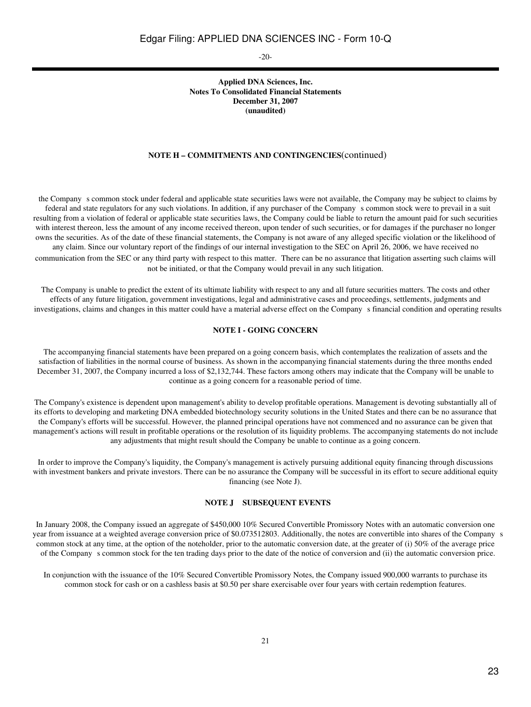-20-

## **Applied DNA Sciences, Inc. Notes To Consolidated Financial Statements December 31, 2007 (unaudited)**

#### **NOTE H – COMMITMENTS AND CONTINGENCIES**(continued)

the Companys common stock under federal and applicable state securities laws were not available, the Company may be subject to claims by federal and state regulators for any such violations. In addition, if any purchaser of the Companys common stock were to prevail in a suit resulting from a violation of federal or applicable state securities laws, the Company could be liable to return the amount paid for such securities with interest thereon, less the amount of any income received thereon, upon tender of such securities, or for damages if the purchaser no longer owns the securities. As of the date of these financial statements, the Company is not aware of any alleged specific violation or the likelihood of any claim. Since our voluntary report of the findings of our internal investigation to the SEC on April 26, 2006, we have received no

communication from the SEC or any third party with respect to this matter. There can be no assurance that litigation asserting such claims will not be initiated, or that the Company would prevail in any such litigation.

The Company is unable to predict the extent of its ultimate liability with respect to any and all future securities matters. The costs and other effects of any future litigation, government investigations, legal and administrative cases and proceedings, settlements, judgments and investigations, claims and changes in this matter could have a material adverse effect on the Companys financial condition and operating results

#### **NOTE I - GOING CONCERN**

The accompanying financial statements have been prepared on a going concern basis, which contemplates the realization of assets and the satisfaction of liabilities in the normal course of business. As shown in the accompanying financial statements during the three months ended December 31, 2007, the Company incurred a loss of \$2,132,744. These factors among others may indicate that the Company will be unable to continue as a going concern for a reasonable period of time.

The Company's existence is dependent upon management's ability to develop profitable operations. Management is devoting substantially all of its efforts to developing and marketing DNA embedded biotechnology security solutions in the United States and there can be no assurance that the Company's efforts will be successful. However, the planned principal operations have not commenced and no assurance can be given that management's actions will result in profitable operations or the resolution of its liquidity problems. The accompanying statements do not include any adjustments that might result should the Company be unable to continue as a going concern.

In order to improve the Company's liquidity, the Company's management is actively pursuing additional equity financing through discussions with investment bankers and private investors. There can be no assurance the Company will be successful in its effort to secure additional equity financing (see Note J).

#### **NOTE J SUBSEQUENT EVENTS**

In January 2008, the Company issued an aggregate of \$450,000 10% Secured Convertible Promissory Notes with an automatic conversion one year from issuance at a weighted average conversion price of \$0.073512803. Additionally, the notes are convertible into shares of the Companys common stock at any time, at the option of the noteholder, prior to the automatic conversion date, at the greater of (i) 50% of the average price of the Companys common stock for the ten trading days prior to the date of the notice of conversion and (ii) the automatic conversion price.

In conjunction with the issuance of the 10% Secured Convertible Promissory Notes, the Company issued 900,000 warrants to purchase its common stock for cash or on a cashless basis at \$0.50 per share exercisable over four years with certain redemption features.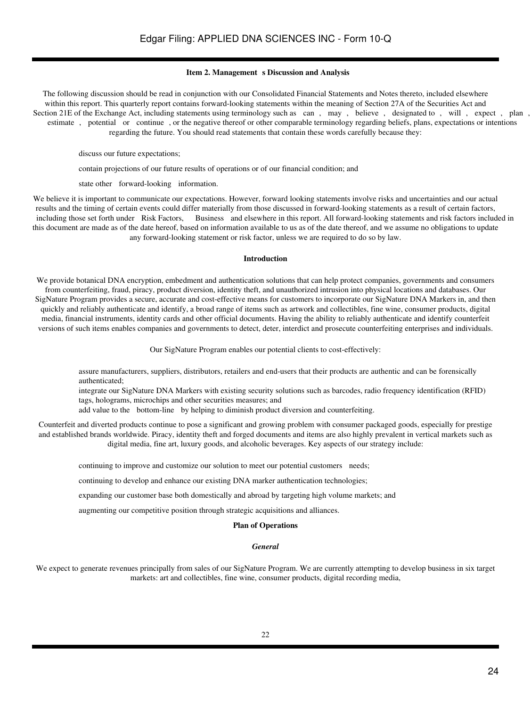### **Item 2. Management s Discussion and Analysis**

The following discussion should be read in conjunction with our Consolidated Financial Statements and Notes thereto, included elsewhere within this report. This quarterly report contains forward-looking statements within the meaning of Section 27A of the Securities Act and Section 21E of the Exchange Act, including statements using terminology such as can, may, believe, designated to, will, expect, plan, estimate, potential or continue, or the negative thereof or other comparable terminology regarding beliefs, plans, expectations or intentions regarding the future. You should read statements that contain these words carefully because they:

discuss our future expectations;

contain projections of our future results of operations or of our financial condition; and

state other forward-looking information.

We believe it is important to communicate our expectations. However, forward looking statements involve risks and uncertainties and our actual results and the timing of certain events could differ materially from those discussed in forward-looking statements as a result of certain factors, including those set forth under Risk Factors, Business and elsewhere in this report. All forward-looking statements and risk factors included in this document are made as of the date hereof, based on information available to us as of the date thereof, and we assume no obligations to update any forward-looking statement or risk factor, unless we are required to do so by law.

### **Introduction**

We provide botanical DNA encryption, embedment and authentication solutions that can help protect companies, governments and consumers from counterfeiting, fraud, piracy, product diversion, identity theft, and unauthorized intrusion into physical locations and databases. Our SigNature Program provides a secure, accurate and cost-effective means for customers to incorporate our SigNature DNA Markers in, and then quickly and reliably authenticate and identify, a broad range of items such as artwork and collectibles, fine wine, consumer products, digital media, financial instruments, identity cards and other official documents. Having the ability to reliably authenticate and identify counterfeit versions of such items enables companies and governments to detect, deter, interdict and prosecute counterfeiting enterprises and individuals.

Our SigNature Program enables our potential clients to cost-effectively:

assure manufacturers, suppliers, distributors, retailers and end-users that their products are authentic and can be forensically authenticated;

integrate our SigNature DNA Markers with existing security solutions such as barcodes, radio frequency identification (RFID) tags, holograms, microchips and other securities measures; and

add value to the bottom-line by helping to diminish product diversion and counterfeiting.

Counterfeit and diverted products continue to pose a significant and growing problem with consumer packaged goods, especially for prestige and established brands worldwide. Piracy, identity theft and forged documents and items are also highly prevalent in vertical markets such as digital media, fine art, luxury goods, and alcoholic beverages. Key aspects of our strategy include:

continuing to improve and customize our solution to meet our potential customers needs;

continuing to develop and enhance our existing DNA marker authentication technologies;

expanding our customer base both domestically and abroad by targeting high volume markets; and

augmenting our competitive position through strategic acquisitions and alliances.

### **Plan of Operations**

#### *General*

We expect to generate revenues principally from sales of our SigNature Program. We are currently attempting to develop business in six target markets: art and collectibles, fine wine, consumer products, digital recording media,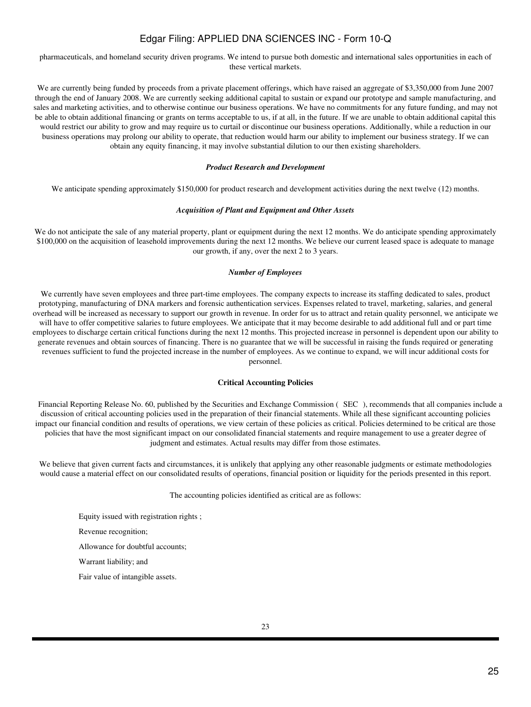pharmaceuticals, and homeland security driven programs. We intend to pursue both domestic and international sales opportunities in each of these vertical markets.

We are currently being funded by proceeds from a private placement offerings, which have raised an aggregate of \$3,350,000 from June 2007 through the end of January 2008. We are currently seeking additional capital to sustain or expand our prototype and sample manufacturing, and sales and marketing activities, and to otherwise continue our business operations. We have no commitments for any future funding, and may not be able to obtain additional financing or grants on terms acceptable to us, if at all, in the future. If we are unable to obtain additional capital this would restrict our ability to grow and may require us to curtail or discontinue our business operations. Additionally, while a reduction in our business operations may prolong our ability to operate, that reduction would harm our ability to implement our business strategy. If we can obtain any equity financing, it may involve substantial dilution to our then existing shareholders.

#### *Product Research and Development*

We anticipate spending approximately \$150,000 for product research and development activities during the next twelve (12) months.

#### *Acquisition of Plant and Equipment and Other Assets*

We do not anticipate the sale of any material property, plant or equipment during the next 12 months. We do anticipate spending approximately \$100,000 on the acquisition of leasehold improvements during the next 12 months. We believe our current leased space is adequate to manage our growth, if any, over the next 2 to 3 years.

### *Number of Employees*

We currently have seven employees and three part-time employees. The company expects to increase its staffing dedicated to sales, product prototyping, manufacturing of DNA markers and forensic authentication services. Expenses related to travel, marketing, salaries, and general overhead will be increased as necessary to support our growth in revenue. In order for us to attract and retain quality personnel, we anticipate we will have to offer competitive salaries to future employees. We anticipate that it may become desirable to add additional full and or part time employees to discharge certain critical functions during the next 12 months. This projected increase in personnel is dependent upon our ability to generate revenues and obtain sources of financing. There is no guarantee that we will be successful in raising the funds required or generating revenues sufficient to fund the projected increase in the number of employees. As we continue to expand, we will incur additional costs for personnel.

#### **Critical Accounting Policies**

Financial Reporting Release No. 60, published by the Securities and Exchange Commission (SEC), recommends that all companies include a discussion of critical accounting policies used in the preparation of their financial statements. While all these significant accounting policies impact our financial condition and results of operations, we view certain of these policies as critical. Policies determined to be critical are those policies that have the most significant impact on our consolidated financial statements and require management to use a greater degree of judgment and estimates. Actual results may differ from those estimates.

We believe that given current facts and circumstances, it is unlikely that applying any other reasonable judgments or estimate methodologies would cause a material effect on our consolidated results of operations, financial position or liquidity for the periods presented in this report.

The accounting policies identified as critical are as follows:

Equity issued with registration rights ; Revenue recognition; Allowance for doubtful accounts; Warrant liability; and Fair value of intangible assets.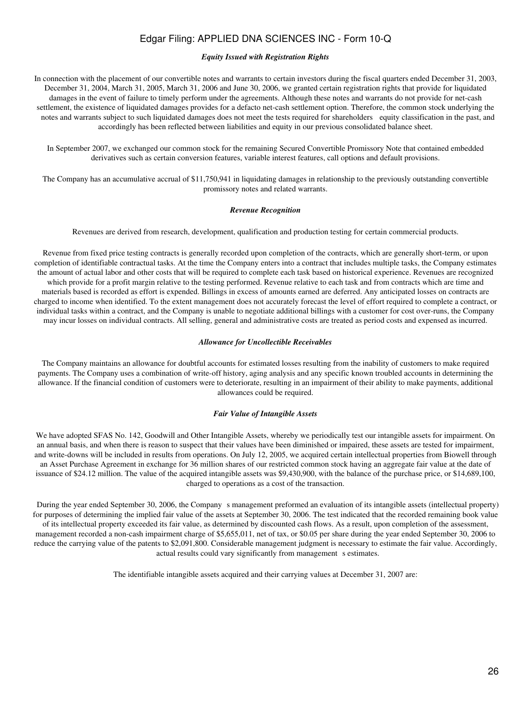#### *Equity Issued with Registration Rights*

In connection with the placement of our convertible notes and warrants to certain investors during the fiscal quarters ended December 31, 2003, December 31, 2004, March 31, 2005, March 31, 2006 and June 30, 2006, we granted certain registration rights that provide for liquidated damages in the event of failure to timely perform under the agreements. Although these notes and warrants do not provide for net-cash settlement, the existence of liquidated damages provides for a defacto net-cash settlement option. Therefore, the common stock underlying the notes and warrants subject to such liquidated damages does not meet the tests required for shareholders equity classification in the past, and accordingly has been reflected between liabilities and equity in our previous consolidated balance sheet.

In September 2007, we exchanged our common stock for the remaining Secured Convertible Promissory Note that contained embedded derivatives such as certain conversion features, variable interest features, call options and default provisions.

The Company has an accumulative accrual of \$11,750,941 in liquidating damages in relationship to the previously outstanding convertible promissory notes and related warrants.

### *Revenue Recognition*

Revenues are derived from research, development, qualification and production testing for certain commercial products.

Revenue from fixed price testing contracts is generally recorded upon completion of the contracts, which are generally short-term, or upon completion of identifiable contractual tasks. At the time the Company enters into a contract that includes multiple tasks, the Company estimates the amount of actual labor and other costs that will be required to complete each task based on historical experience. Revenues are recognized which provide for a profit margin relative to the testing performed. Revenue relative to each task and from contracts which are time and materials based is recorded as effort is expended. Billings in excess of amounts earned are deferred. Any anticipated losses on contracts are charged to income when identified. To the extent management does not accurately forecast the level of effort required to complete a contract, or individual tasks within a contract, and the Company is unable to negotiate additional billings with a customer for cost over-runs, the Company may incur losses on individual contracts. All selling, general and administrative costs are treated as period costs and expensed as incurred.

### *Allowance for Uncollectible Receivables*

The Company maintains an allowance for doubtful accounts for estimated losses resulting from the inability of customers to make required payments. The Company uses a combination of write-off history, aging analysis and any specific known troubled accounts in determining the allowance. If the financial condition of customers were to deteriorate, resulting in an impairment of their ability to make payments, additional allowances could be required.

#### *Fair Value of Intangible Assets*

We have adopted SFAS No. 142, Goodwill and Other Intangible Assets, whereby we periodically test our intangible assets for impairment. On an annual basis, and when there is reason to suspect that their values have been diminished or impaired, these assets are tested for impairment, and write-downs will be included in results from operations. On July 12, 2005, we acquired certain intellectual properties from Biowell through an Asset Purchase Agreement in exchange for 36 million shares of our restricted common stock having an aggregate fair value at the date of issuance of \$24.12 million. The value of the acquired intangible assets was \$9,430,900, with the balance of the purchase price, or \$14,689,100, charged to operations as a cost of the transaction.

During the year ended September 30, 2006, the Company s management preformed an evaluation of its intangible assets (intellectual property) for purposes of determining the implied fair value of the assets at September 30, 2006. The test indicated that the recorded remaining book value of its intellectual property exceeded its fair value, as determined by discounted cash flows. As a result, upon completion of the assessment, management recorded a non-cash impairment charge of \$5,655,011, net of tax, or \$0.05 per share during the year ended September 30, 2006 to reduce the carrying value of the patents to \$2,091,800. Considerable management judgment is necessary to estimate the fair value. Accordingly, actual results could vary significantly from management s estimates.

The identifiable intangible assets acquired and their carrying values at December 31, 2007 are: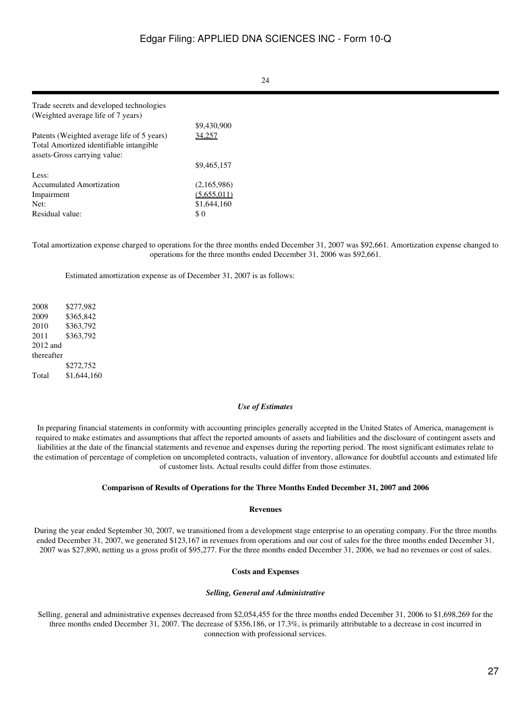| Trade secrets and developed technologies   |             |
|--------------------------------------------|-------------|
| (Weighted average life of 7 years)         |             |
|                                            | \$9,430,900 |
| Patents (Weighted average life of 5 years) | 34.257      |
| Total Amortized identifiable intangible    |             |
| assets-Gross carrying value:               |             |
|                                            | \$9,465,157 |
| Less:                                      |             |
| Accumulated Amortization                   | (2,165,986) |
| Impairment                                 | (5,655,011) |
| Net:                                       | \$1,644,160 |
| Residual value:                            | \$0         |

Total amortization expense charged to operations for the three months ended December 31, 2007 was \$92,661. Amortization expense changed to operations for the three months ended December 31, 2006 was \$92,661.

Estimated amortization expense as of December 31, 2007 is as follows:

2008 \$277,982 2009 \$365,842 2010 \$363,792 2011 \$363,792 2012 and thereafter \$272,752 Total \$1,644,160

#### *Use of Estimates*

In preparing financial statements in conformity with accounting principles generally accepted in the United States of America, management is required to make estimates and assumptions that affect the reported amounts of assets and liabilities and the disclosure of contingent assets and liabilities at the date of the financial statements and revenue and expenses during the reporting period. The most significant estimates relate to the estimation of percentage of completion on uncompleted contracts, valuation of inventory, allowance for doubtful accounts and estimated life of customer lists. Actual results could differ from those estimates.

#### **Comparison of Results of Operations for the Three Months Ended December 31, 2007 and 2006**

#### **Revenues**

During the year ended September 30, 2007, we transitioned from a development stage enterprise to an operating company. For the three months ended December 31, 2007, we generated \$123,167 in revenues from operations and our cost of sales for the three months ended December 31, 2007 was \$27,890, netting us a gross profit of \$95,277. For the three months ended December 31, 2006, we had no revenues or cost of sales.

#### **Costs and Expenses**

#### *Selling, General and Administrative*

Selling, general and administrative expenses decreased from \$2,054,455 for the three months ended December 31, 2006 to \$1,698,269 for the three months ended December 31, 2007. The decrease of \$356,186, or 17.3%, is primarily attributable to a decrease in cost incurred in connection with professional services.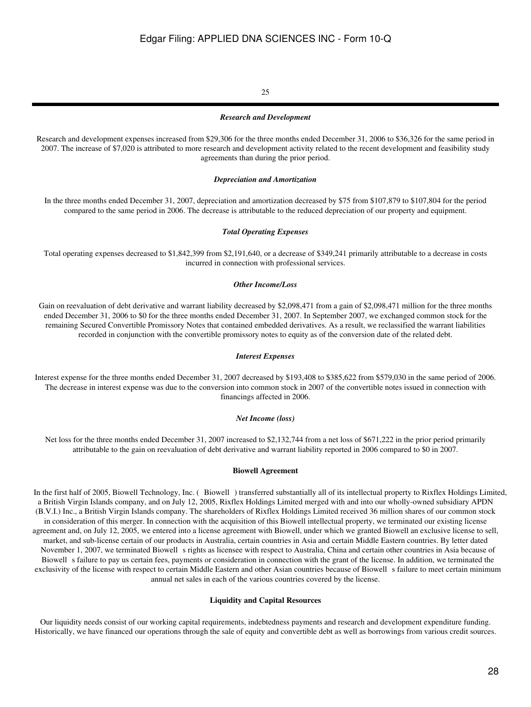### 25

#### *Research and Development*

Research and development expenses increased from \$29,306 for the three months ended December 31, 2006 to \$36,326 for the same period in 2007. The increase of \$7,020 is attributed to more research and development activity related to the recent development and feasibility study agreements than during the prior period.

#### *Depreciation and Amortization*

In the three months ended December 31, 2007, depreciation and amortization decreased by \$75 from \$107,879 to \$107,804 for the period compared to the same period in 2006. The decrease is attributable to the reduced depreciation of our property and equipment.

#### *Total Operating Expenses*

Total operating expenses decreased to \$1,842,399 from \$2,191,640, or a decrease of \$349,241 primarily attributable to a decrease in costs incurred in connection with professional services.

#### *Other Income/Loss*

Gain on reevaluation of debt derivative and warrant liability decreased by \$2,098,471 from a gain of \$2,098,471 million for the three months ended December 31, 2006 to \$0 for the three months ended December 31, 2007. In September 2007, we exchanged common stock for the remaining Secured Convertible Promissory Notes that contained embedded derivatives. As a result, we reclassified the warrant liabilities recorded in conjunction with the convertible promissory notes to equity as of the conversion date of the related debt.

#### *Interest Expenses*

Interest expense for the three months ended December 31, 2007 decreased by \$193,408 to \$385,622 from \$579,030 in the same period of 2006. The decrease in interest expense was due to the conversion into common stock in 2007 of the convertible notes issued in connection with financings affected in 2006.

#### *Net Income (loss)*

Net loss for the three months ended December 31, 2007 increased to \$2,132,744 from a net loss of \$671,222 in the prior period primarily attributable to the gain on reevaluation of debt derivative and warrant liability reported in 2006 compared to \$0 in 2007.

#### **Biowell Agreement**

In the first half of 2005, Biowell Technology, Inc. (Biowell) transferred substantially all of its intellectual property to Rixflex Holdings Limited, a British Virgin Islands company, and on July 12, 2005, Rixflex Holdings Limited merged with and into our wholly-owned subsidiary APDN (B.V.I.) Inc., a British Virgin Islands company. The shareholders of Rixflex Holdings Limited received 36 million shares of our common stock in consideration of this merger. In connection with the acquisition of this Biowell intellectual property, we terminated our existing license agreement and, on July 12, 2005, we entered into a license agreement with Biowell, under which we granted Biowell an exclusive license to sell, market, and sub-license certain of our products in Australia, certain countries in Asia and certain Middle Eastern countries. By letter dated November 1, 2007, we terminated Biowell s rights as licensee with respect to Australia, China and certain other countries in Asia because of Biowell s failure to pay us certain fees, payments or consideration in connection with the grant of the license. In addition, we terminated the exclusivity of the license with respect to certain Middle Eastern and other Asian countries because of Biowell s failure to meet certain minimum annual net sales in each of the various countries covered by the license.

#### **Liquidity and Capital Resources**

Our liquidity needs consist of our working capital requirements, indebtedness payments and research and development expenditure funding. Historically, we have financed our operations through the sale of equity and convertible debt as well as borrowings from various credit sources.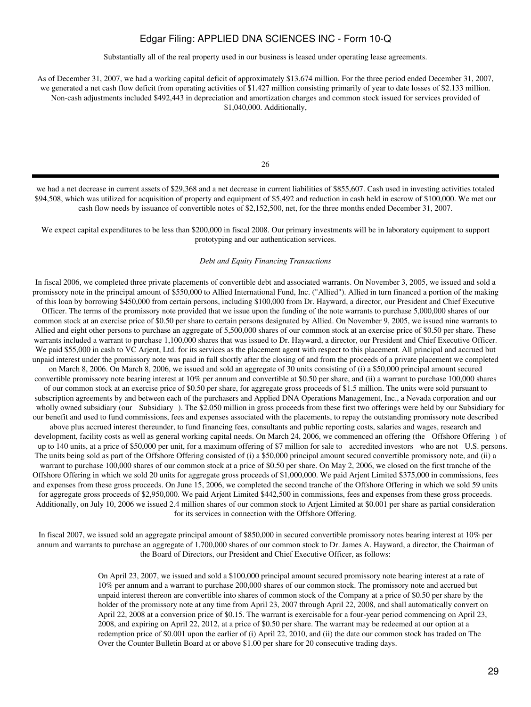Substantially all of the real property used in our business is leased under operating lease agreements.

As of December 31, 2007, we had a working capital deficit of approximately \$13.674 million. For the three period ended December 31, 2007, we generated a net cash flow deficit from operating activities of \$1.427 million consisting primarily of year to date losses of \$2.133 million. Non-cash adjustments included \$492,443 in depreciation and amortization charges and common stock issued for services provided of \$1,040,000. Additionally,

26

we had a net decrease in current assets of \$29,368 and a net decrease in current liabilities of \$855,607. Cash used in investing activities totaled \$94,508, which was utilized for acquisition of property and equipment of \$5,492 and reduction in cash held in escrow of \$100,000. We met our cash flow needs by issuance of convertible notes of \$2,152,500, net, for the three months ended December 31, 2007.

We expect capital expenditures to be less than \$200,000 in fiscal 2008. Our primary investments will be in laboratory equipment to support prototyping and our authentication services.

#### *Debt and Equity Financing Transactions*

In fiscal 2006, we completed three private placements of convertible debt and associated warrants. On November 3, 2005, we issued and sold a promissory note in the principal amount of \$550,000 to Allied International Fund, Inc. ("Allied"). Allied in turn financed a portion of the making of this loan by borrowing \$450,000 from certain persons, including \$100,000 from Dr. Hayward, a director, our President and Chief Executive

Officer. The terms of the promissory note provided that we issue upon the funding of the note warrants to purchase 5,000,000 shares of our common stock at an exercise price of \$0.50 per share to certain persons designated by Allied. On November 9, 2005, we issued nine warrants to Allied and eight other persons to purchase an aggregate of 5,500,000 shares of our common stock at an exercise price of \$0.50 per share. These warrants included a warrant to purchase 1,100,000 shares that was issued to Dr. Hayward, a director, our President and Chief Executive Officer. We paid \$55,000 in cash to VC Arjent, Ltd. for its services as the placement agent with respect to this placement. All principal and accrued but unpaid interest under the promissory note was paid in full shortly after the closing of and from the proceeds of a private placement we completed on March 8, 2006. On March 8, 2006, we issued and sold an aggregate of 30 units consisting of (i) a \$50,000 principal amount secured convertible promissory note bearing interest at 10% per annum and convertible at \$0.50 per share, and (ii) a warrant to purchase 100,000 shares of our common stock at an exercise price of \$0.50 per share, for aggregate gross proceeds of \$1.5 million. The units were sold pursuant to subscription agreements by and between each of the purchasers and Applied DNA Operations Management, Inc., a Nevada corporation and our wholly owned subsidiary (our Subsidiary). The \$2.050 million in gross proceeds from these first two offerings were held by our Subsidiary for our benefit and used to fund commissions, fees and expenses associated with the placements, to repay the outstanding promissory note described above plus accrued interest thereunder, to fund financing fees, consultants and public reporting costs, salaries and wages, research and development, facility costs as well as general working capital needs. On March 24, 2006, we commenced an offering (the Offshore Offering) of up to 140 units, at a price of \$50,000 per unit, for a maximum offering of \$7 million for sale to accredited investors who are not U.S. persons. The units being sold as part of the Offshore Offering consisted of (i) a \$50,000 principal amount secured convertible promissory note, and (ii) a warrant to purchase 100,000 shares of our common stock at a price of \$0.50 per share. On May 2, 2006, we closed on the first tranche of the Offshore Offering in which we sold 20 units for aggregate gross proceeds of \$1,000,000. We paid Arjent Limited \$375,000 in commissions, fees and expenses from these gross proceeds. On June 15, 2006, we completed the second tranche of the Offshore Offering in which we sold 59 units for aggregate gross proceeds of \$2,950,000. We paid Arjent Limited \$442,500 in commissions, fees and expenses from these gross proceeds. Additionally, on July 10, 2006 we issued 2.4 million shares of our common stock to Arjent Limited at \$0.001 per share as partial consideration for its services in connection with the Offshore Offering.

In fiscal 2007, we issued sold an aggregate principal amount of \$850,000 in secured convertible promissory notes bearing interest at 10% per annum and warrants to purchase an aggregate of 1,700,000 shares of our common stock to Dr. James A. Hayward, a director, the Chairman of the Board of Directors, our President and Chief Executive Officer, as follows:

> On April 23, 2007, we issued and sold a \$100,000 principal amount secured promissory note bearing interest at a rate of 10% per annum and a warrant to purchase 200,000 shares of our common stock. The promissory note and accrued but unpaid interest thereon are convertible into shares of common stock of the Company at a price of \$0.50 per share by the holder of the promissory note at any time from April 23, 2007 through April 22, 2008, and shall automatically convert on April 22, 2008 at a conversion price of \$0.15. The warrant is exercisable for a four-year period commencing on April 23, 2008, and expiring on April 22, 2012, at a price of \$0.50 per share. The warrant may be redeemed at our option at a redemption price of \$0.001 upon the earlier of (i) April 22, 2010, and (ii) the date our common stock has traded on The Over the Counter Bulletin Board at or above \$1.00 per share for 20 consecutive trading days.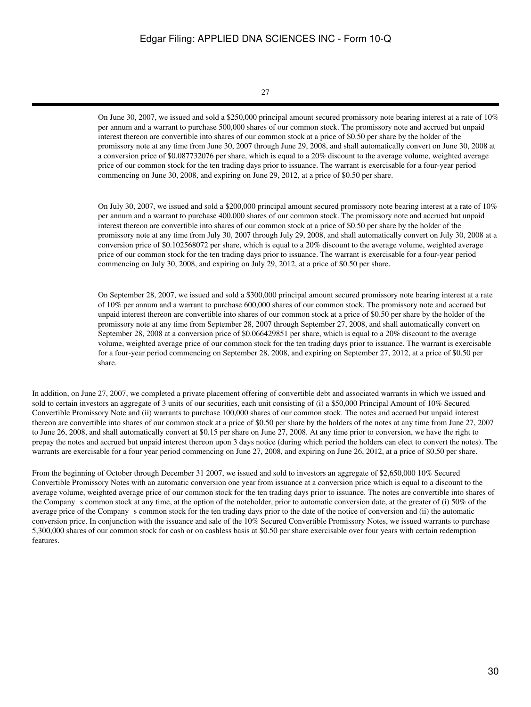#### 27

On June 30, 2007, we issued and sold a \$250,000 principal amount secured promissory note bearing interest at a rate of 10% per annum and a warrant to purchase 500,000 shares of our common stock. The promissory note and accrued but unpaid interest thereon are convertible into shares of our common stock at a price of \$0.50 per share by the holder of the promissory note at any time from June 30, 2007 through June 29, 2008, and shall automatically convert on June 30, 2008 at a conversion price of \$0.087732076 per share, which is equal to a 20% discount to the average volume, weighted average price of our common stock for the ten trading days prior to issuance. The warrant is exercisable for a four-year period commencing on June 30, 2008, and expiring on June 29, 2012, at a price of \$0.50 per share.

On July 30, 2007, we issued and sold a \$200,000 principal amount secured promissory note bearing interest at a rate of 10% per annum and a warrant to purchase 400,000 shares of our common stock. The promissory note and accrued but unpaid interest thereon are convertible into shares of our common stock at a price of \$0.50 per share by the holder of the promissory note at any time from July 30, 2007 through July 29, 2008, and shall automatically convert on July 30, 2008 at a conversion price of \$0.102568072 per share, which is equal to a 20% discount to the average volume, weighted average price of our common stock for the ten trading days prior to issuance. The warrant is exercisable for a four-year period commencing on July 30, 2008, and expiring on July 29, 2012, at a price of \$0.50 per share.

On September 28, 2007, we issued and sold a \$300,000 principal amount secured promissory note bearing interest at a rate of 10% per annum and a warrant to purchase 600,000 shares of our common stock. The promissory note and accrued but unpaid interest thereon are convertible into shares of our common stock at a price of \$0.50 per share by the holder of the promissory note at any time from September 28, 2007 through September 27, 2008, and shall automatically convert on September 28, 2008 at a conversion price of \$0.066429851 per share, which is equal to a 20% discount to the average volume, weighted average price of our common stock for the ten trading days prior to issuance. The warrant is exercisable for a four-year period commencing on September 28, 2008, and expiring on September 27, 2012, at a price of \$0.50 per share.

In addition, on June 27, 2007, we completed a private placement offering of convertible debt and associated warrants in which we issued and sold to certain investors an aggregate of 3 units of our securities, each unit consisting of (i) a \$50,000 Principal Amount of 10% Secured Convertible Promissory Note and (ii) warrants to purchase 100,000 shares of our common stock. The notes and accrued but unpaid interest thereon are convertible into shares of our common stock at a price of \$0.50 per share by the holders of the notes at any time from June 27, 2007 to June 26, 2008, and shall automatically convert at \$0.15 per share on June 27, 2008. At any time prior to conversion, we have the right to prepay the notes and accrued but unpaid interest thereon upon 3 days notice (during which period the holders can elect to convert the notes). The warrants are exercisable for a four year period commencing on June 27, 2008, and expiring on June 26, 2012, at a price of \$0.50 per share.

From the beginning of October through December 31 2007, we issued and sold to investors an aggregate of \$2,650,000 10% Secured Convertible Promissory Notes with an automatic conversion one year from issuance at a conversion price which is equal to a discount to the average volume, weighted average price of our common stock for the ten trading days prior to issuance. The notes are convertible into shares of the Company s common stock at any time, at the option of the noteholder, prior to automatic conversion date, at the greater of (i) 50% of the average price of the Company s common stock for the ten trading days prior to the date of the notice of conversion and (ii) the automatic conversion price. In conjunction with the issuance and sale of the 10% Secured Convertible Promissory Notes, we issued warrants to purchase 5,300,000 shares of our common stock for cash or on cashless basis at \$0.50 per share exercisable over four years with certain redemption features.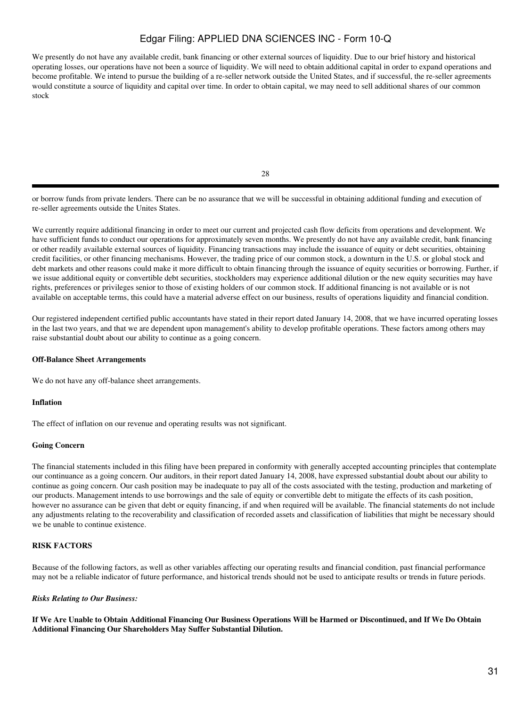We presently do not have any available credit, bank financing or other external sources of liquidity. Due to our brief history and historical operating losses, our operations have not been a source of liquidity. We will need to obtain additional capital in order to expand operations and become profitable. We intend to pursue the building of a re-seller network outside the United States, and if successful, the re-seller agreements would constitute a source of liquidity and capital over time. In order to obtain capital, we may need to sell additional shares of our common stock

28

or borrow funds from private lenders. There can be no assurance that we will be successful in obtaining additional funding and execution of re-seller agreements outside the Unites States.

We currently require additional financing in order to meet our current and projected cash flow deficits from operations and development. We have sufficient funds to conduct our operations for approximately seven months. We presently do not have any available credit, bank financing or other readily available external sources of liquidity. Financing transactions may include the issuance of equity or debt securities, obtaining credit facilities, or other financing mechanisms. However, the trading price of our common stock, a downturn in the U.S. or global stock and debt markets and other reasons could make it more difficult to obtain financing through the issuance of equity securities or borrowing. Further, if we issue additional equity or convertible debt securities, stockholders may experience additional dilution or the new equity securities may have rights, preferences or privileges senior to those of existing holders of our common stock. If additional financing is not available or is not available on acceptable terms, this could have a material adverse effect on our business, results of operations liquidity and financial condition.

Our registered independent certified public accountants have stated in their report dated January 14, 2008, that we have incurred operating losses in the last two years, and that we are dependent upon management's ability to develop profitable operations. These factors among others may raise substantial doubt about our ability to continue as a going concern.

#### **Off-Balance Sheet Arrangements**

We do not have any off-balance sheet arrangements.

#### **Inflation**

The effect of inflation on our revenue and operating results was not significant.

#### **Going Concern**

The financial statements included in this filing have been prepared in conformity with generally accepted accounting principles that contemplate our continuance as a going concern. Our auditors, in their report dated January 14, 2008, have expressed substantial doubt about our ability to continue as going concern. Our cash position may be inadequate to pay all of the costs associated with the testing, production and marketing of our products. Management intends to use borrowings and the sale of equity or convertible debt to mitigate the effects of its cash position, however no assurance can be given that debt or equity financing, if and when required will be available. The financial statements do not include any adjustments relating to the recoverability and classification of recorded assets and classification of liabilities that might be necessary should we be unable to continue existence.

## **RISK FACTORS**

Because of the following factors, as well as other variables affecting our operating results and financial condition, past financial performance may not be a reliable indicator of future performance, and historical trends should not be used to anticipate results or trends in future periods.

#### *Risks Relating to Our Business:*

**If We Are Unable to Obtain Additional Financing Our Business Operations Will be Harmed or Discontinued, and If We Do Obtain Additional Financing Our Shareholders May Suffer Substantial Dilution.**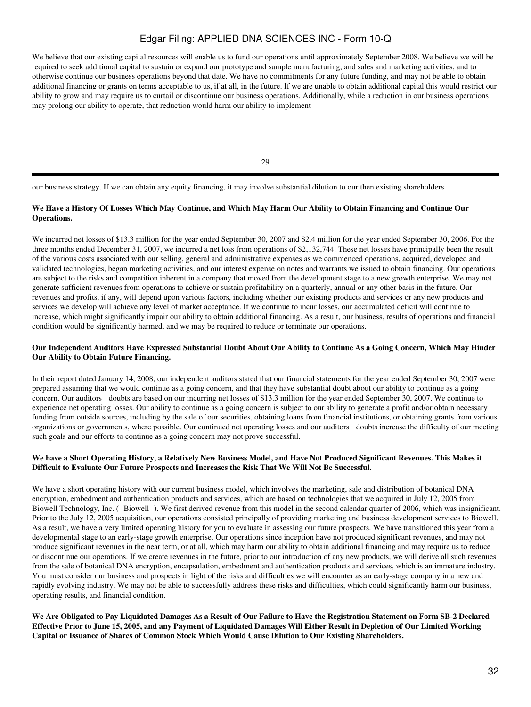We believe that our existing capital resources will enable us to fund our operations until approximately September 2008. We believe we will be required to seek additional capital to sustain or expand our prototype and sample manufacturing, and sales and marketing activities, and to otherwise continue our business operations beyond that date. We have no commitments for any future funding, and may not be able to obtain additional financing or grants on terms acceptable to us, if at all, in the future. If we are unable to obtain additional capital this would restrict our ability to grow and may require us to curtail or discontinue our business operations. Additionally, while a reduction in our business operations may prolong our ability to operate, that reduction would harm our ability to implement

29

our business strategy. If we can obtain any equity financing, it may involve substantial dilution to our then existing shareholders.

## **We Have a History Of Losses Which May Continue, and Which May Harm Our Ability to Obtain Financing and Continue Our Operations.**

We incurred net losses of \$13.3 million for the year ended September 30, 2007 and \$2.4 million for the year ended September 30, 2006. For the three months ended December 31, 2007, we incurred a net loss from operations of \$2,132,744. These net losses have principally been the result of the various costs associated with our selling, general and administrative expenses as we commenced operations, acquired, developed and validated technologies, began marketing activities, and our interest expense on notes and warrants we issued to obtain financing. Our operations are subject to the risks and competition inherent in a company that moved from the development stage to a new growth enterprise. We may not generate sufficient revenues from operations to achieve or sustain profitability on a quarterly, annual or any other basis in the future. Our revenues and profits, if any, will depend upon various factors, including whether our existing products and services or any new products and services we develop will achieve any level of market acceptance. If we continue to incur losses, our accumulated deficit will continue to increase, which might significantly impair our ability to obtain additional financing. As a result, our business, results of operations and financial condition would be significantly harmed, and we may be required to reduce or terminate our operations.

## **Our Independent Auditors Have Expressed Substantial Doubt About Our Ability to Continue As a Going Concern, Which May Hinder Our Ability to Obtain Future Financing.**

In their report dated January 14, 2008, our independent auditors stated that our financial statements for the year ended September 30, 2007 were prepared assuming that we would continue as a going concern, and that they have substantial doubt about our ability to continue as a going concern. Our auditors doubts are based on our incurring net losses of \$13.3 million for the year ended September 30, 2007. We continue to experience net operating losses. Our ability to continue as a going concern is subject to our ability to generate a profit and/or obtain necessary funding from outside sources, including by the sale of our securities, obtaining loans from financial institutions, or obtaining grants from various organizations or governments, where possible. Our continued net operating losses and our auditors doubts increase the difficulty of our meeting such goals and our efforts to continue as a going concern may not prove successful.

### **We have a Short Operating History, a Relatively New Business Model, and Have Not Produced Significant Revenues. This Makes it Difficult to Evaluate Our Future Prospects and Increases the Risk That We Will Not Be Successful.**

We have a short operating history with our current business model, which involves the marketing, sale and distribution of botanical DNA encryption, embedment and authentication products and services, which are based on technologies that we acquired in July 12, 2005 from Biowell Technology, Inc. (Biowell). We first derived revenue from this model in the second calendar quarter of 2006, which was insignificant. Prior to the July 12, 2005 acquisition, our operations consisted principally of providing marketing and business development services to Biowell. As a result, we have a very limited operating history for you to evaluate in assessing our future prospects. We have transitioned this year from a developmental stage to an early-stage growth enterprise. Our operations since inception have not produced significant revenues, and may not produce significant revenues in the near term, or at all, which may harm our ability to obtain additional financing and may require us to reduce or discontinue our operations. If we create revenues in the future, prior to our introduction of any new products, we will derive all such revenues from the sale of botanical DNA encryption, encapsulation, embedment and authentication products and services, which is an immature industry. You must consider our business and prospects in light of the risks and difficulties we will encounter as an early-stage company in a new and rapidly evolving industry. We may not be able to successfully address these risks and difficulties, which could significantly harm our business, operating results, and financial condition.

**We Are Obligated to Pay Liquidated Damages As a Result of Our Failure to Have the Registration Statement on Form SB-2 Declared Effective Prior to June 15, 2005, and any Payment of Liquidated Damages Will Either Result in Depletion of Our Limited Working Capital or Issuance of Shares of Common Stock Which Would Cause Dilution to Our Existing Shareholders.**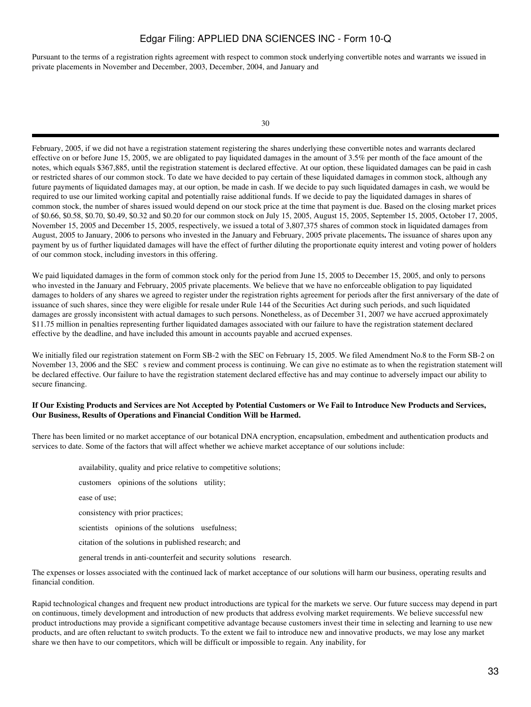Pursuant to the terms of a registration rights agreement with respect to common stock underlying convertible notes and warrants we issued in private placements in November and December, 2003, December, 2004, and January and

February, 2005, if we did not have a registration statement registering the shares underlying these convertible notes and warrants declared effective on or before June 15, 2005, we are obligated to pay liquidated damages in the amount of 3.5% per month of the face amount of the notes, which equals \$367,885, until the registration statement is declared effective. At our option, these liquidated damages can be paid in cash or restricted shares of our common stock. To date we have decided to pay certain of these liquidated damages in common stock, although any future payments of liquidated damages may, at our option, be made in cash. If we decide to pay such liquidated damages in cash, we would be required to use our limited working capital and potentially raise additional funds. If we decide to pay the liquidated damages in shares of common stock, the number of shares issued would depend on our stock price at the time that payment is due. Based on the closing market prices of \$0.66, \$0.58, \$0.70, \$0.49, \$0.32 and \$0.20 for our common stock on July 15, 2005, August 15, 2005, September 15, 2005, October 17, 2005, November 15, 2005 and December 15, 2005, respectively, we issued a total of 3,807,375 shares of common stock in liquidated damages from August, 2005 to January, 2006 to persons who invested in the January and February, 2005 private placements**.** The issuance of shares upon any payment by us of further liquidated damages will have the effect of further diluting the proportionate equity interest and voting power of holders of our common stock, including investors in this offering.

We paid liquidated damages in the form of common stock only for the period from June 15, 2005 to December 15, 2005, and only to persons who invested in the January and February, 2005 private placements. We believe that we have no enforceable obligation to pay liquidated damages to holders of any shares we agreed to register under the registration rights agreement for periods after the first anniversary of the date of issuance of such shares, since they were eligible for resale under Rule 144 of the Securities Act during such periods, and such liquidated damages are grossly inconsistent with actual damages to such persons. Nonetheless, as of December 31, 2007 we have accrued approximately \$11.75 million in penalties representing further liquidated damages associated with our failure to have the registration statement declared effective by the deadline, and have included this amount in accounts payable and accrued expenses.

We initially filed our registration statement on Form SB-2 with the SEC on February 15, 2005. We filed Amendment No.8 to the Form SB-2 on November 13, 2006 and the SEC s review and comment process is continuing. We can give no estimate as to when the registration statement will be declared effective. Our failure to have the registration statement declared effective has and may continue to adversely impact our ability to secure financing.

### **If Our Existing Products and Services are Not Accepted by Potential Customers or We Fail to Introduce New Products and Services, Our Business, Results of Operations and Financial Condition Will be Harmed.**

There has been limited or no market acceptance of our botanical DNA encryption, encapsulation, embedment and authentication products and services to date. Some of the factors that will affect whether we achieve market acceptance of our solutions include:

availability, quality and price relative to competitive solutions; customers opinions of the solutions utility; ease of use; consistency with prior practices; scientists opinions of the solutions usefulness; citation of the solutions in published research; and general trends in anti-counterfeit and security solutions research.

The expenses or losses associated with the continued lack of market acceptance of our solutions will harm our business, operating results and financial condition.

Rapid technological changes and frequent new product introductions are typical for the markets we serve. Our future success may depend in part on continuous, timely development and introduction of new products that address evolving market requirements. We believe successful new product introductions may provide a significant competitive advantage because customers invest their time in selecting and learning to use new products, and are often reluctant to switch products. To the extent we fail to introduce new and innovative products, we may lose any market share we then have to our competitors, which will be difficult or impossible to regain. Any inability, for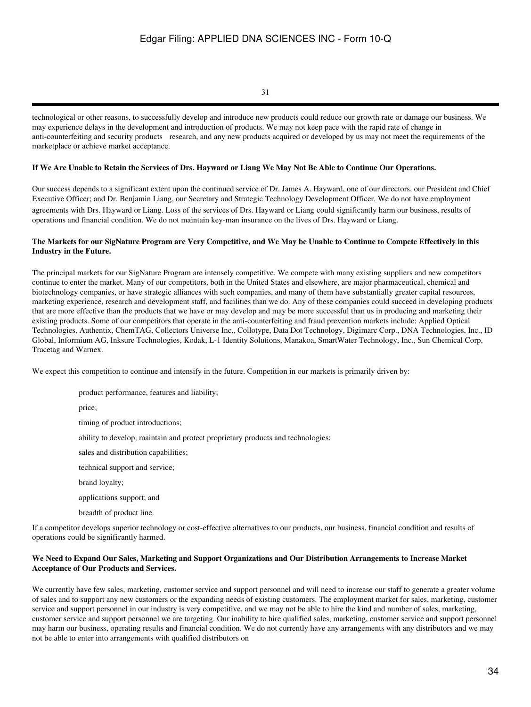31

technological or other reasons, to successfully develop and introduce new products could reduce our growth rate or damage our business. We may experience delays in the development and introduction of products. We may not keep pace with the rapid rate of change in anti-counterfeiting and security products research, and any new products acquired or developed by us may not meet the requirements of the marketplace or achieve market acceptance.

## **If We Are Unable to Retain the Services of Drs. Hayward or Liang We May Not Be Able to Continue Our Operations.**

Our success depends to a significant extent upon the continued service of Dr. James A. Hayward, one of our directors, our President and Chief Executive Officer; and Dr. Benjamin Liang, our Secretary and Strategic Technology Development Officer. We do not have employment agreements with Drs. Hayward or Liang. Loss of the services of Drs. Hayward or Liang could significantly harm our business, results of operations and financial condition. We do not maintain key-man insurance on the lives of Drs. Hayward or Liang.

## **The Markets for our SigNature Program are Very Competitive, and We May be Unable to Continue to Compete Effectively in this Industry in the Future.**

The principal markets for our SigNature Program are intensely competitive. We compete with many existing suppliers and new competitors continue to enter the market. Many of our competitors, both in the United States and elsewhere, are major pharmaceutical, chemical and biotechnology companies, or have strategic alliances with such companies, and many of them have substantially greater capital resources, marketing experience, research and development staff, and facilities than we do. Any of these companies could succeed in developing products that are more effective than the products that we have or may develop and may be more successful than us in producing and marketing their existing products. Some of our competitors that operate in the anti-counterfeiting and fraud prevention markets include: Applied Optical Technologies, Authentix, ChemTAG, Collectors Universe Inc., Collotype, Data Dot Technology, Digimarc Corp., DNA Technologies, Inc., ID Global, Informium AG, Inksure Technologies, Kodak, L-1 Identity Solutions, Manakoa, SmartWater Technology, Inc., Sun Chemical Corp, Tracetag and Warnex.

We expect this competition to continue and intensify in the future. Competition in our markets is primarily driven by:

product performance, features and liability; price; timing of product introductions; ability to develop, maintain and protect proprietary products and technologies; sales and distribution capabilities; technical support and service; brand loyalty; applications support; and breadth of product line.

If a competitor develops superior technology or cost-effective alternatives to our products, our business, financial condition and results of operations could be significantly harmed.

## **We Need to Expand Our Sales, Marketing and Support Organizations and Our Distribution Arrangements to Increase Market Acceptance of Our Products and Services.**

We currently have few sales, marketing, customer service and support personnel and will need to increase our staff to generate a greater volume of sales and to support any new customers or the expanding needs of existing customers. The employment market for sales, marketing, customer service and support personnel in our industry is very competitive, and we may not be able to hire the kind and number of sales, marketing, customer service and support personnel we are targeting. Our inability to hire qualified sales, marketing, customer service and support personnel may harm our business, operating results and financial condition. We do not currently have any arrangements with any distributors and we may not be able to enter into arrangements with qualified distributors on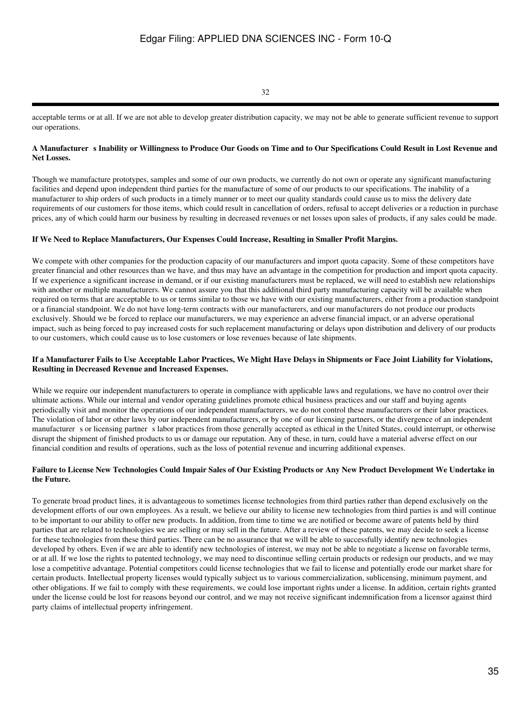32

acceptable terms or at all. If we are not able to develop greater distribution capacity, we may not be able to generate sufficient revenue to support our operations.

### A Manufacturer s Inability or Willingness to Produce Our Goods on Time and to Our Specifications Could Result in Lost Revenue and **Net Losses.**

Though we manufacture prototypes, samples and some of our own products, we currently do not own or operate any significant manufacturing facilities and depend upon independent third parties for the manufacture of some of our products to our specifications. The inability of a manufacturer to ship orders of such products in a timely manner or to meet our quality standards could cause us to miss the delivery date requirements of our customers for those items, which could result in cancellation of orders, refusal to accept deliveries or a reduction in purchase prices, any of which could harm our business by resulting in decreased revenues or net losses upon sales of products, if any sales could be made.

## **If We Need to Replace Manufacturers, Our Expenses Could Increase, Resulting in Smaller Profit Margins.**

We compete with other companies for the production capacity of our manufacturers and import quota capacity. Some of these competitors have greater financial and other resources than we have, and thus may have an advantage in the competition for production and import quota capacity. If we experience a significant increase in demand, or if our existing manufacturers must be replaced, we will need to establish new relationships with another or multiple manufacturers. We cannot assure you that this additional third party manufacturing capacity will be available when required on terms that are acceptable to us or terms similar to those we have with our existing manufacturers, either from a production standpoint or a financial standpoint. We do not have long-term contracts with our manufacturers, and our manufacturers do not produce our products exclusively. Should we be forced to replace our manufacturers, we may experience an adverse financial impact, or an adverse operational impact, such as being forced to pay increased costs for such replacement manufacturing or delays upon distribution and delivery of our products to our customers, which could cause us to lose customers or lose revenues because of late shipments.

### **If a Manufacturer Fails to Use Acceptable Labor Practices, We Might Have Delays in Shipments or Face Joint Liability for Violations, Resulting in Decreased Revenue and Increased Expenses.**

While we require our independent manufacturers to operate in compliance with applicable laws and regulations, we have no control over their ultimate actions. While our internal and vendor operating guidelines promote ethical business practices and our staff and buying agents periodically visit and monitor the operations of our independent manufacturers, we do not control these manufacturers or their labor practices. The violation of labor or other laws by our independent manufacturers, or by one of our licensing partners, or the divergence of an independent manufacturer s or licensing partner s labor practices from those generally accepted as ethical in the United States, could interrupt, or otherwise disrupt the shipment of finished products to us or damage our reputation. Any of these, in turn, could have a material adverse effect on our financial condition and results of operations, such as the loss of potential revenue and incurring additional expenses.

### **Failure to License New Technologies Could Impair Sales of Our Existing Products or Any New Product Development We Undertake in the Future.**

To generate broad product lines, it is advantageous to sometimes license technologies from third parties rather than depend exclusively on the development efforts of our own employees. As a result, we believe our ability to license new technologies from third parties is and will continue to be important to our ability to offer new products. In addition, from time to time we are notified or become aware of patents held by third parties that are related to technologies we are selling or may sell in the future. After a review of these patents, we may decide to seek a license for these technologies from these third parties. There can be no assurance that we will be able to successfully identify new technologies developed by others. Even if we are able to identify new technologies of interest, we may not be able to negotiate a license on favorable terms, or at all. If we lose the rights to patented technology, we may need to discontinue selling certain products or redesign our products, and we may lose a competitive advantage. Potential competitors could license technologies that we fail to license and potentially erode our market share for certain products. Intellectual property licenses would typically subject us to various commercialization, sublicensing, minimum payment, and other obligations. If we fail to comply with these requirements, we could lose important rights under a license. In addition, certain rights granted under the license could be lost for reasons beyond our control, and we may not receive significant indemnification from a licensor against third party claims of intellectual property infringement.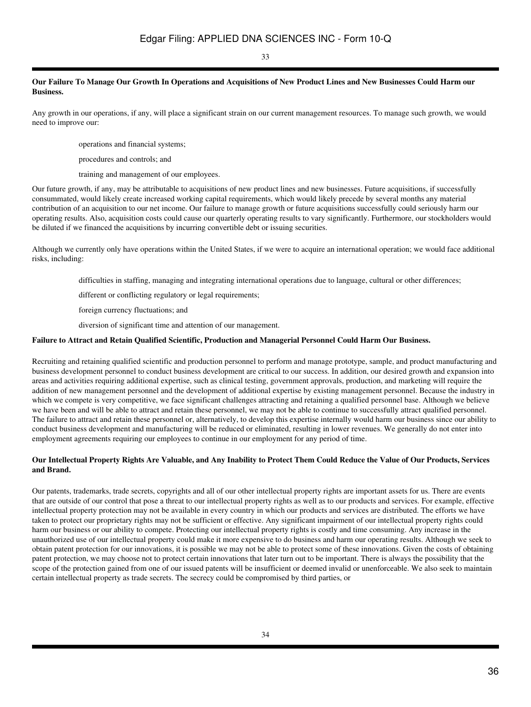33

## **Our Failure To Manage Our Growth In Operations and Acquisitions of New Product Lines and New Businesses Could Harm our Business.**

Any growth in our operations, if any, will place a significant strain on our current management resources. To manage such growth, we would need to improve our:

operations and financial systems;

procedures and controls; and

training and management of our employees.

Our future growth, if any, may be attributable to acquisitions of new product lines and new businesses. Future acquisitions, if successfully consummated, would likely create increased working capital requirements, which would likely precede by several months any material contribution of an acquisition to our net income. Our failure to manage growth or future acquisitions successfully could seriously harm our operating results. Also, acquisition costs could cause our quarterly operating results to vary significantly. Furthermore, our stockholders would be diluted if we financed the acquisitions by incurring convertible debt or issuing securities.

Although we currently only have operations within the United States, if we were to acquire an international operation; we would face additional risks, including:

difficulties in staffing, managing and integrating international operations due to language, cultural or other differences;

different or conflicting regulatory or legal requirements;

foreign currency fluctuations; and

diversion of significant time and attention of our management.

### **Failure to Attract and Retain Qualified Scientific, Production and Managerial Personnel Could Harm Our Business.**

Recruiting and retaining qualified scientific and production personnel to perform and manage prototype, sample, and product manufacturing and business development personnel to conduct business development are critical to our success. In addition, our desired growth and expansion into areas and activities requiring additional expertise, such as clinical testing, government approvals, production, and marketing will require the addition of new management personnel and the development of additional expertise by existing management personnel. Because the industry in which we compete is very competitive, we face significant challenges attracting and retaining a qualified personnel base. Although we believe we have been and will be able to attract and retain these personnel, we may not be able to continue to successfully attract qualified personnel. The failure to attract and retain these personnel or, alternatively, to develop this expertise internally would harm our business since our ability to conduct business development and manufacturing will be reduced or eliminated, resulting in lower revenues. We generally do not enter into employment agreements requiring our employees to continue in our employment for any period of time.

## **Our Intellectual Property Rights Are Valuable, and Any Inability to Protect Them Could Reduce the Value of Our Products, Services and Brand.**

Our patents, trademarks, trade secrets, copyrights and all of our other intellectual property rights are important assets for us. There are events that are outside of our control that pose a threat to our intellectual property rights as well as to our products and services. For example, effective intellectual property protection may not be available in every country in which our products and services are distributed. The efforts we have taken to protect our proprietary rights may not be sufficient or effective. Any significant impairment of our intellectual property rights could harm our business or our ability to compete. Protecting our intellectual property rights is costly and time consuming. Any increase in the unauthorized use of our intellectual property could make it more expensive to do business and harm our operating results. Although we seek to obtain patent protection for our innovations, it is possible we may not be able to protect some of these innovations. Given the costs of obtaining patent protection, we may choose not to protect certain innovations that later turn out to be important. There is always the possibility that the scope of the protection gained from one of our issued patents will be insufficient or deemed invalid or unenforceable. We also seek to maintain certain intellectual property as trade secrets. The secrecy could be compromised by third parties, or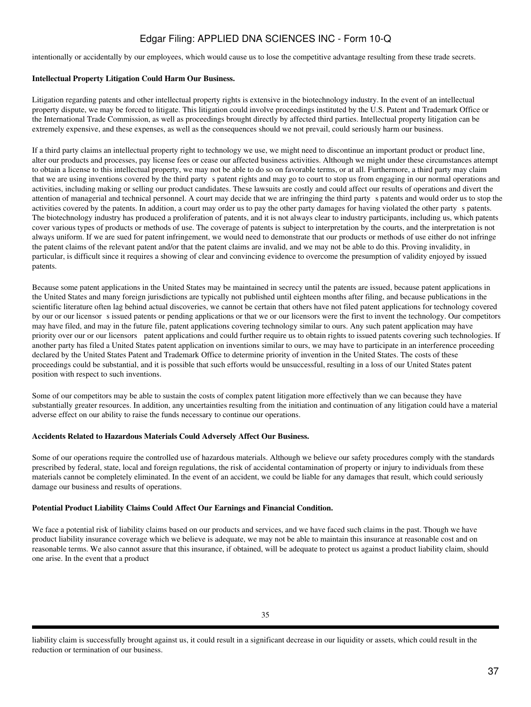intentionally or accidentally by our employees, which would cause us to lose the competitive advantage resulting from these trade secrets.

## **Intellectual Property Litigation Could Harm Our Business.**

Litigation regarding patents and other intellectual property rights is extensive in the biotechnology industry. In the event of an intellectual property dispute, we may be forced to litigate. This litigation could involve proceedings instituted by the U.S. Patent and Trademark Office or the International Trade Commission, as well as proceedings brought directly by affected third parties. Intellectual property litigation can be extremely expensive, and these expenses, as well as the consequences should we not prevail, could seriously harm our business.

If a third party claims an intellectual property right to technology we use, we might need to discontinue an important product or product line, alter our products and processes, pay license fees or cease our affected business activities. Although we might under these circumstances attempt to obtain a license to this intellectual property, we may not be able to do so on favorable terms, or at all. Furthermore, a third party may claim that we are using inventions covered by the third party spatent rights and may go to court to stop us from engaging in our normal operations and activities, including making or selling our product candidates. These lawsuits are costly and could affect our results of operations and divert the attention of managerial and technical personnel. A court may decide that we are infringing the third partys patents and would order us to stop the activities covered by the patents. In addition, a court may order us to pay the other party damages for having violated the other partys patents. The biotechnology industry has produced a proliferation of patents, and it is not always clear to industry participants, including us, which patents cover various types of products or methods of use. The coverage of patents is subject to interpretation by the courts, and the interpretation is not always uniform. If we are sued for patent infringement, we would need to demonstrate that our products or methods of use either do not infringe the patent claims of the relevant patent and/or that the patent claims are invalid, and we may not be able to do this. Proving invalidity, in particular, is difficult since it requires a showing of clear and convincing evidence to overcome the presumption of validity enjoyed by issued patents.

Because some patent applications in the United States may be maintained in secrecy until the patents are issued, because patent applications in the United States and many foreign jurisdictions are typically not published until eighteen months after filing, and because publications in the scientific literature often lag behind actual discoveries, we cannot be certain that others have not filed patent applications for technology covered by our or our licensor s issued patents or pending applications or that we or our licensors were the first to invent the technology. Our competitors may have filed, and may in the future file, patent applications covering technology similar to ours. Any such patent application may have priority over our or our licensors patent applications and could further require us to obtain rights to issued patents covering such technologies. If another party has filed a United States patent application on inventions similar to ours, we may have to participate in an interference proceeding declared by the United States Patent and Trademark Office to determine priority of invention in the United States. The costs of these proceedings could be substantial, and it is possible that such efforts would be unsuccessful, resulting in a loss of our United States patent position with respect to such inventions.

Some of our competitors may be able to sustain the costs of complex patent litigation more effectively than we can because they have substantially greater resources. In addition, any uncertainties resulting from the initiation and continuation of any litigation could have a material adverse effect on our ability to raise the funds necessary to continue our operations.

## **Accidents Related to Hazardous Materials Could Adversely Affect Our Business.**

Some of our operations require the controlled use of hazardous materials. Although we believe our safety procedures comply with the standards prescribed by federal, state, local and foreign regulations, the risk of accidental contamination of property or injury to individuals from these materials cannot be completely eliminated. In the event of an accident, we could be liable for any damages that result, which could seriously damage our business and results of operations.

## **Potential Product Liability Claims Could Affect Our Earnings and Financial Condition.**

We face a potential risk of liability claims based on our products and services, and we have faced such claims in the past. Though we have product liability insurance coverage which we believe is adequate, we may not be able to maintain this insurance at reasonable cost and on reasonable terms. We also cannot assure that this insurance, if obtained, will be adequate to protect us against a product liability claim, should one arise. In the event that a product

liability claim is successfully brought against us, it could result in a significant decrease in our liquidity or assets, which could result in the reduction or termination of our business.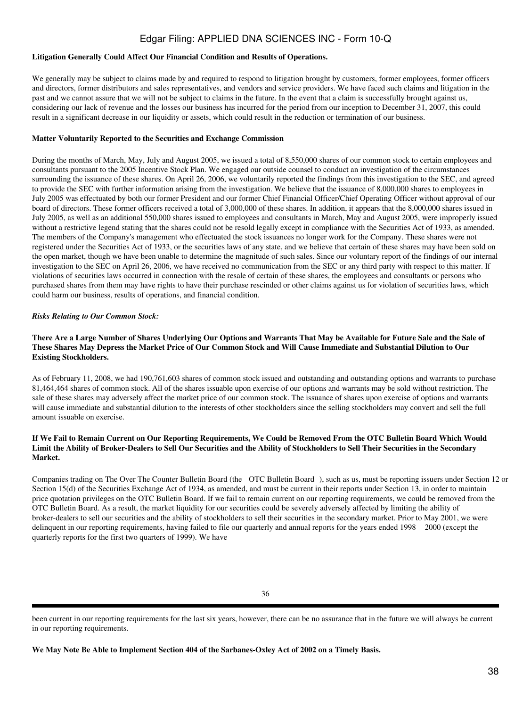## **Litigation Generally Could Affect Our Financial Condition and Results of Operations.**

We generally may be subject to claims made by and required to respond to litigation brought by customers, former employees, former officers and directors, former distributors and sales representatives, and vendors and service providers. We have faced such claims and litigation in the past and we cannot assure that we will not be subject to claims in the future. In the event that a claim is successfully brought against us, considering our lack of revenue and the losses our business has incurred for the period from our inception to December 31, 2007, this could result in a significant decrease in our liquidity or assets, which could result in the reduction or termination of our business.

### **Matter Voluntarily Reported to the Securities and Exchange Commission**

During the months of March, May, July and August 2005, we issued a total of 8,550,000 shares of our common stock to certain employees and consultants pursuant to the 2005 Incentive Stock Plan. We engaged our outside counsel to conduct an investigation of the circumstances surrounding the issuance of these shares. On April 26, 2006, we voluntarily reported the findings from this investigation to the SEC, and agreed to provide the SEC with further information arising from the investigation. We believe that the issuance of 8,000,000 shares to employees in July 2005 was effectuated by both our former President and our former Chief Financial Officer/Chief Operating Officer without approval of our board of directors. These former officers received a total of 3,000,000 of these shares. In addition, it appears that the 8,000,000 shares issued in July 2005, as well as an additional 550,000 shares issued to employees and consultants in March, May and August 2005, were improperly issued without a restrictive legend stating that the shares could not be resold legally except in compliance with the Securities Act of 1933, as amended. The members of the Company's management who effectuated the stock issuances no longer work for the Company. These shares were not registered under the Securities Act of 1933, or the securities laws of any state, and we believe that certain of these shares may have been sold on the open market, though we have been unable to determine the magnitude of such sales. Since our voluntary report of the findings of our internal investigation to the SEC on April 26, 2006, we have received no communication from the SEC or any third party with respect to this matter. If violations of securities laws occurred in connection with the resale of certain of these shares, the employees and consultants or persons who purchased shares from them may have rights to have their purchase rescinded or other claims against us for violation of securities laws, which could harm our business, results of operations, and financial condition.

### *Risks Relating to Our Common Stock:*

## **There Are a Large Number of Shares Underlying Our Options and Warrants That May be Available for Future Sale and the Sale of These Shares May Depress the Market Price of Our Common Stock and Will Cause Immediate and Substantial Dilution to Our Existing Stockholders.**

As of February 11, 2008, we had 190,761,603 shares of common stock issued and outstanding and outstanding options and warrants to purchase 81,464,464 shares of common stock. All of the shares issuable upon exercise of our options and warrants may be sold without restriction. The sale of these shares may adversely affect the market price of our common stock. The issuance of shares upon exercise of options and warrants will cause immediate and substantial dilution to the interests of other stockholders since the selling stockholders may convert and sell the full amount issuable on exercise.

### **If We Fail to Remain Current on Our Reporting Requirements, We Could be Removed From the OTC Bulletin Board Which Would Limit the Ability of Broker-Dealers to Sell Our Securities and the Ability of Stockholders to Sell Their Securities in the Secondary Market.**

Companies trading on The Over The Counter Bulletin Board (the OTC Bulletin Board), such as us, must be reporting issuers under Section 12 or Section 15(d) of the Securities Exchange Act of 1934, as amended, and must be current in their reports under Section 13, in order to maintain price quotation privileges on the OTC Bulletin Board. If we fail to remain current on our reporting requirements, we could be removed from the OTC Bulletin Board. As a result, the market liquidity for our securities could be severely adversely affected by limiting the ability of broker-dealers to sell our securities and the ability of stockholders to sell their securities in the secondary market. Prior to May 2001, we were delinquent in our reporting requirements, having failed to file our quarterly and annual reports for the years ended 1998 2000 (except the quarterly reports for the first two quarters of 1999). We have

been current in our reporting requirements for the last six years, however, there can be no assurance that in the future we will always be current in our reporting requirements.

**We May Note Be Able to Implement Section 404 of the Sarbanes-Oxley Act of 2002 on a Timely Basis.**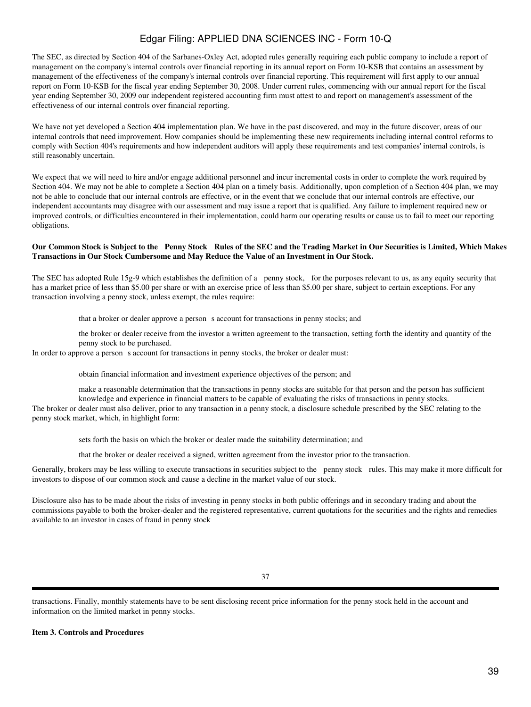The SEC, as directed by Section 404 of the Sarbanes-Oxley Act, adopted rules generally requiring each public company to include a report of management on the company's internal controls over financial reporting in its annual report on Form 10-KSB that contains an assessment by management of the effectiveness of the company's internal controls over financial reporting. This requirement will first apply to our annual report on Form 10-KSB for the fiscal year ending September 30, 2008. Under current rules, commencing with our annual report for the fiscal year ending September 30, 2009 our independent registered accounting firm must attest to and report on management's assessment of the effectiveness of our internal controls over financial reporting.

We have not yet developed a Section 404 implementation plan. We have in the past discovered, and may in the future discover, areas of our internal controls that need improvement. How companies should be implementing these new requirements including internal control reforms to comply with Section 404's requirements and how independent auditors will apply these requirements and test companies' internal controls, is still reasonably uncertain.

We expect that we will need to hire and/or engage additional personnel and incur incremental costs in order to complete the work required by Section 404. We may not be able to complete a Section 404 plan on a timely basis. Additionally, upon completion of a Section 404 plan, we may not be able to conclude that our internal controls are effective, or in the event that we conclude that our internal controls are effective, our independent accountants may disagree with our assessment and may issue a report that is qualified. Any failure to implement required new or improved controls, or difficulties encountered in their implementation, could harm our operating results or cause us to fail to meet our reporting obligations.

#### **Our Common Stock is Subject to the Penny Stock Rules of the SEC and the Trading Market in Our Securities is Limited, Which Makes Transactions in Our Stock Cumbersome and May Reduce the Value of an Investment in Our Stock.**

The SEC has adopted Rule 15g-9 which establishes the definition of a penny stock, for the purposes relevant to us, as any equity security that has a market price of less than \$5.00 per share or with an exercise price of less than \$5.00 per share, subject to certain exceptions. For any transaction involving a penny stock, unless exempt, the rules require:

that a broker or dealer approve a person s account for transactions in penny stocks; and

the broker or dealer receive from the investor a written agreement to the transaction, setting forth the identity and quantity of the penny stock to be purchased.

In order to approve a person s account for transactions in penny stocks, the broker or dealer must:

obtain financial information and investment experience objectives of the person; and

make a reasonable determination that the transactions in penny stocks are suitable for that person and the person has sufficient knowledge and experience in financial matters to be capable of evaluating the risks of transactions in penny stocks.

The broker or dealer must also deliver, prior to any transaction in a penny stock, a disclosure schedule prescribed by the SEC relating to the penny stock market, which, in highlight form:

sets forth the basis on which the broker or dealer made the suitability determination; and

that the broker or dealer received a signed, written agreement from the investor prior to the transaction.

Generally, brokers may be less willing to execute transactions in securities subject to the penny stock rules. This may make it more difficult for investors to dispose of our common stock and cause a decline in the market value of our stock.

Disclosure also has to be made about the risks of investing in penny stocks in both public offerings and in secondary trading and about the commissions payable to both the broker-dealer and the registered representative, current quotations for the securities and the rights and remedies available to an investor in cases of fraud in penny stock

transactions. Finally, monthly statements have to be sent disclosing recent price information for the penny stock held in the account and information on the limited market in penny stocks.

## **Item 3. Controls and Procedures**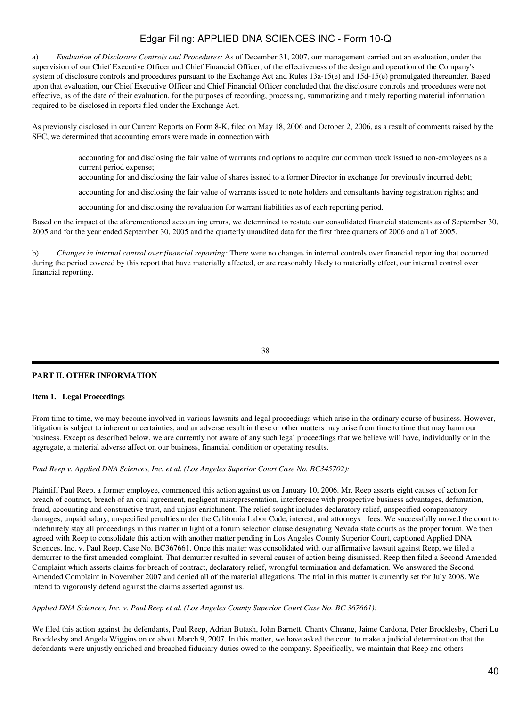a) *Evaluation of Disclosure Controls and Procedures:* As of December 31, 2007, our management carried out an evaluation, under the supervision of our Chief Executive Officer and Chief Financial Officer, of the effectiveness of the design and operation of the Company's system of disclosure controls and procedures pursuant to the Exchange Act and Rules 13a-15(e) and 15d-15(e) promulgated thereunder. Based upon that evaluation, our Chief Executive Officer and Chief Financial Officer concluded that the disclosure controls and procedures were not effective, as of the date of their evaluation, for the purposes of recording, processing, summarizing and timely reporting material information required to be disclosed in reports filed under the Exchange Act.

As previously disclosed in our Current Reports on Form 8-K, filed on May 18, 2006 and October 2, 2006, as a result of comments raised by the SEC, we determined that accounting errors were made in connection with

accounting for and disclosing the fair value of warrants and options to acquire our common stock issued to non-employees as a current period expense;

accounting for and disclosing the fair value of shares issued to a former Director in exchange for previously incurred debt;

accounting for and disclosing the fair value of warrants issued to note holders and consultants having registration rights; and

accounting for and disclosing the revaluation for warrant liabilities as of each reporting period.

Based on the impact of the aforementioned accounting errors, we determined to restate our consolidated financial statements as of September 30, 2005 and for the year ended September 30, 2005 and the quarterly unaudited data for the first three quarters of 2006 and all of 2005.

b) *Changes in internal control over financial reporting:* There were no changes in internal controls over financial reporting that occurred during the period covered by this report that have materially affected, or are reasonably likely to materially effect, our internal control over financial reporting.

38

## **PART II. OTHER INFORMATION**

#### **Item 1. Legal Proceedings**

From time to time, we may become involved in various lawsuits and legal proceedings which arise in the ordinary course of business. However, litigation is subject to inherent uncertainties, and an adverse result in these or other matters may arise from time to time that may harm our business. Except as described below, we are currently not aware of any such legal proceedings that we believe will have, individually or in the aggregate, a material adverse affect on our business, financial condition or operating results.

## *Paul Reep v. Applied DNA Sciences, Inc. et al. (Los Angeles Superior Court Case No. BC345702):*

Plaintiff Paul Reep, a former employee, commenced this action against us on January 10, 2006. Mr. Reep asserts eight causes of action for breach of contract, breach of an oral agreement, negligent misrepresentation, interference with prospective business advantages, defamation, fraud, accounting and constructive trust, and unjust enrichment. The relief sought includes declaratory relief, unspecified compensatory damages, unpaid salary, unspecified penalties under the California Labor Code, interest, and attorneys fees. We successfully moved the court to indefinitely stay all proceedings in this matter in light of a forum selection clause designating Nevada state courts as the proper forum. We then agreed with Reep to consolidate this action with another matter pending in Los Angeles County Superior Court, captioned Applied DNA Sciences, Inc. v. Paul Reep, Case No. BC367661. Once this matter was consolidated with our affirmative lawsuit against Reep, we filed a demurrer to the first amended complaint. That demurrer resulted in several causes of action being dismissed. Reep then filed a Second Amended Complaint which asserts claims for breach of contract, declaratory relief, wrongful termination and defamation. We answered the Second Amended Complaint in November 2007 and denied all of the material allegations. The trial in this matter is currently set for July 2008. We intend to vigorously defend against the claims asserted against us.

*Applied DNA Sciences, Inc. v. Paul Reep et al. (Los Angeles County Superior Court Case No. BC 367661):*

We filed this action against the defendants, Paul Reep, Adrian Butash, John Barnett, Chanty Cheang, Jaime Cardona, Peter Brocklesby, Cheri Lu Brocklesby and Angela Wiggins on or about March 9, 2007. In this matter, we have asked the court to make a judicial determination that the defendants were unjustly enriched and breached fiduciary duties owed to the company. Specifically, we maintain that Reep and others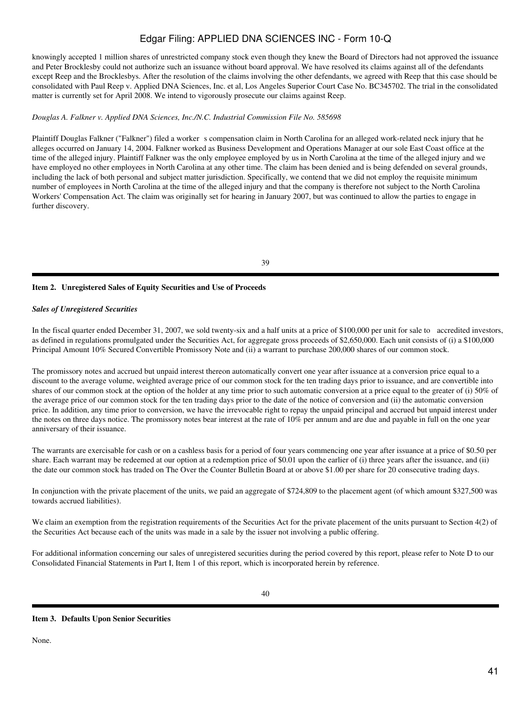knowingly accepted 1 million shares of unrestricted company stock even though they knew the Board of Directors had not approved the issuance and Peter Brocklesby could not authorize such an issuance without board approval. We have resolved its claims against all of the defendants except Reep and the Brocklesbys. After the resolution of the claims involving the other defendants, we agreed with Reep that this case should be consolidated with Paul Reep v. Applied DNA Sciences, Inc. et al, Los Angeles Superior Court Case No. BC345702. The trial in the consolidated matter is currently set for April 2008. We intend to vigorously prosecute our claims against Reep.

### *Douglas A. Falkner v. Applied DNA Sciences, Inc./N.C. Industrial Commission File No. 585698*

Plaintiff Douglas Falkner ("Falkner") filed a worker s compensation claim in North Carolina for an alleged work-related neck injury that he alleges occurred on January 14, 2004. Falkner worked as Business Development and Operations Manager at our sole East Coast office at the time of the alleged injury. Plaintiff Falkner was the only employee employed by us in North Carolina at the time of the alleged injury and we have employed no other employees in North Carolina at any other time. The claim has been denied and is being defended on several grounds, including the lack of both personal and subject matter jurisdiction. Specifically, we contend that we did not employ the requisite minimum number of employees in North Carolina at the time of the alleged injury and that the company is therefore not subject to the North Carolina Workers' Compensation Act. The claim was originally set for hearing in January 2007, but was continued to allow the parties to engage in further discovery.

#### 39

## **Item 2. Unregistered Sales of Equity Securities and Use of Proceeds**

#### *Sales of Unregistered Securities*

In the fiscal quarter ended December 31, 2007, we sold twenty-six and a half units at a price of \$100,000 per unit for sale to accredited investors, as defined in regulations promulgated under the Securities Act, for aggregate gross proceeds of \$2,650,000. Each unit consists of (i) a \$100,000 Principal Amount 10% Secured Convertible Promissory Note and (ii) a warrant to purchase 200,000 shares of our common stock.

The promissory notes and accrued but unpaid interest thereon automatically convert one year after issuance at a conversion price equal to a discount to the average volume, weighted average price of our common stock for the ten trading days prior to issuance, and are convertible into shares of our common stock at the option of the holder at any time prior to such automatic conversion at a price equal to the greater of (i) 50% of the average price of our common stock for the ten trading days prior to the date of the notice of conversion and (ii) the automatic conversion price. In addition, any time prior to conversion, we have the irrevocable right to repay the unpaid principal and accrued but unpaid interest under the notes on three days notice. The promissory notes bear interest at the rate of 10% per annum and are due and payable in full on the one year anniversary of their issuance.

The warrants are exercisable for cash or on a cashless basis for a period of four years commencing one year after issuance at a price of \$0.50 per share. Each warrant may be redeemed at our option at a redemption price of \$0.01 upon the earlier of (i) three years after the issuance, and (ii) the date our common stock has traded on The Over the Counter Bulletin Board at or above \$1.00 per share for 20 consecutive trading days.

In conjunction with the private placement of the units, we paid an aggregate of \$724,809 to the placement agent (of which amount \$327,500 was towards accrued liabilities).

We claim an exemption from the registration requirements of the Securities Act for the private placement of the units pursuant to Section 4(2) of the Securities Act because each of the units was made in a sale by the issuer not involving a public offering.

For additional information concerning our sales of unregistered securities during the period covered by this report, please refer to Note D to our Consolidated Financial Statements in Part I, Item 1 of this report, which is incorporated herein by reference.

#### **Item 3. Defaults Upon Senior Securities**

None.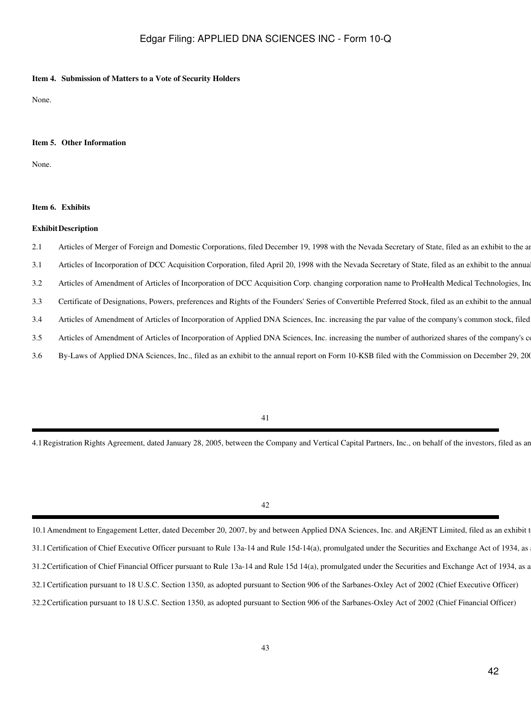### **Item 4. Submission of Matters to a Vote of Security Holders**

None.

### **Item 5. Other Information**

None.

### **Item 6. Exhibits**

#### **ExhibitDescription**

- 2.1 Articles of Merger of Foreign and Domestic Corporations, filed December 19, 1998 with the Nevada Secretary of State, filed as an exhibit to the an
- 3.1 Articles of Incorporation of DCC Acquisition Corporation, filed April 20, 1998 with the Nevada Secretary of State, filed as an exhibit to the annua
- 3.2 Articles of Amendment of Articles of Incorporation of DCC Acquisition Corp. changing corporation name to ProHealth Medical Technologies, Inc.
- 3.3 Certificate of Designations, Powers, preferences and Rights of the Founders' Series of Convertible Preferred Stock, filed as an exhibit to the annual
- 3.4 Articles of Amendment of Articles of Incorporation of Applied DNA Sciences, Inc. increasing the par value of the company's common stock, filed
- 3.5 Articles of Amendment of Articles of Incorporation of Applied DNA Sciences, Inc. increasing the number of authorized shares of the company's company's
- 3.6 By-Laws of Applied DNA Sciences, Inc., filed as an exhibit to the annual report on Form 10-KSB filed with the Commission on December 29, 2003

4.1 Registration Rights Agreement, dated January 28, 2005, between the Company and Vertical Capital Partners, Inc., on behalf of the investors, filed as an

42

<sup>10.1</sup> Amendment to Engagement Letter, dated December 20, 2007, by and between Applied DNA Sciences, Inc. and ARJENT Limited, filed as an exhibit t 31.1 Certification of Chief Executive Officer pursuant to Rule 13a-14 and Rule 15d-14(a), promulgated under the Securities and Exchange Act of 1934, as 31.2 Certification of Chief Financial Officer pursuant to Rule 13a-14 and Rule 15d 14(a), promulgated under the Securities and Exchange Act of 1934, as a 32.1Certification pursuant to 18 U.S.C. Section 1350, as adopted pursuant to Section 906 of the Sarbanes-Oxley Act of 2002 (Chief Executive Officer) 32.2Certification pursuant to 18 U.S.C. Section 1350, as adopted pursuant to Section 906 of the Sarbanes-Oxley Act of 2002 (Chief Financial Officer)